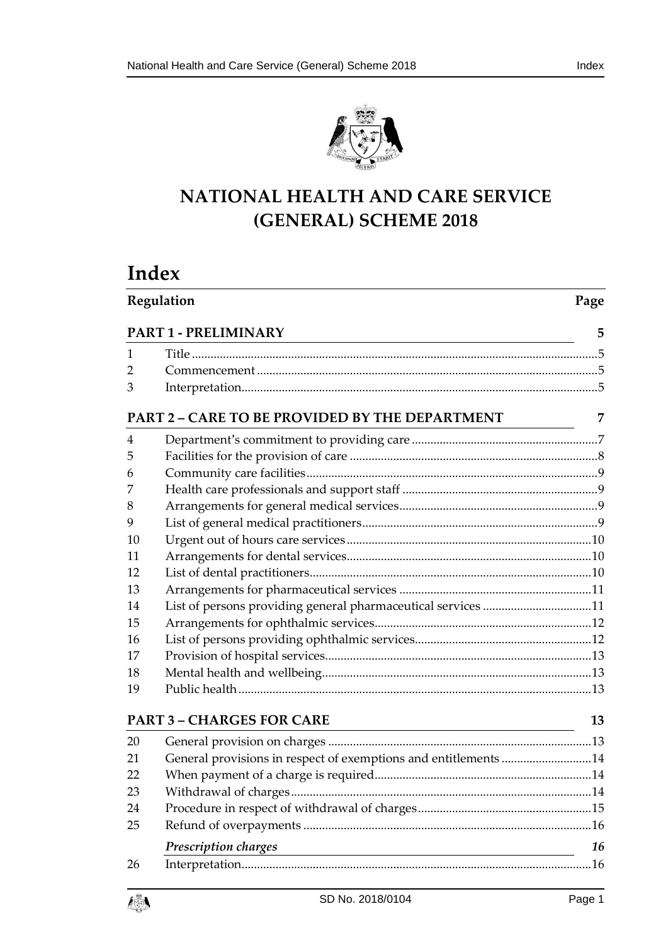



# **NATIONAL HEALTH AND CARE SERVICE (GENERAL) SCHEME 2018**

# **Index**

|                | Regulation                                                      | Page |
|----------------|-----------------------------------------------------------------|------|
|                | PART 1 - PRELIMINARY                                            | 5    |
| 1              |                                                                 |      |
| 2              |                                                                 |      |
| 3              |                                                                 |      |
|                | PART 2 - CARE TO BE PROVIDED BY THE DEPARTMENT                  | 7    |
| $\overline{4}$ |                                                                 |      |
| 5              |                                                                 |      |
| 6              |                                                                 |      |
| 7              |                                                                 |      |
| 8              |                                                                 |      |
| 9              |                                                                 |      |
| 10             |                                                                 |      |
| 11             |                                                                 |      |
| 12             |                                                                 |      |
| 13             |                                                                 |      |
| 14             | List of persons providing general pharmaceutical services 11    |      |
| 15             |                                                                 |      |
| 16             |                                                                 |      |
| 17             |                                                                 |      |
| 18             |                                                                 |      |
| 19             |                                                                 |      |
|                | <b>PART 3 - CHARGES FOR CARE</b>                                | 13   |
| 20             |                                                                 |      |
| 21             | General provisions in respect of exemptions and entitlements 14 |      |
| 22             |                                                                 |      |
| 23             |                                                                 |      |
| 24             |                                                                 |      |
| 25             |                                                                 |      |
|                | Prescription charges                                            | 16   |
| 26             |                                                                 |      |
|                |                                                                 |      |

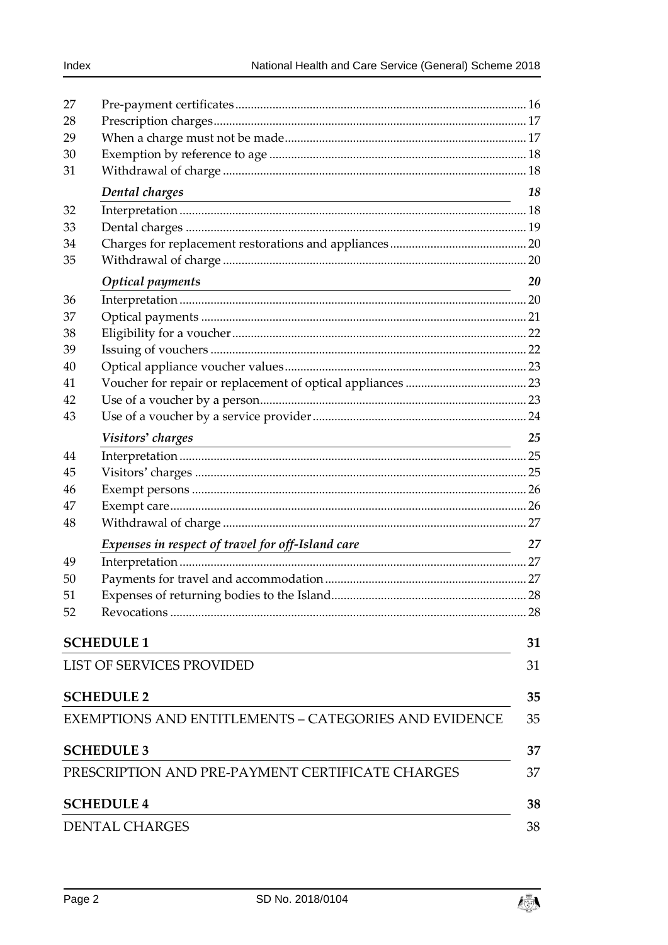| 27 |                                                                                 |    |
|----|---------------------------------------------------------------------------------|----|
| 28 |                                                                                 |    |
| 29 |                                                                                 |    |
| 30 |                                                                                 |    |
| 31 |                                                                                 |    |
|    | Dental charges                                                                  | 18 |
| 32 |                                                                                 |    |
| 33 |                                                                                 |    |
| 34 |                                                                                 |    |
| 35 |                                                                                 |    |
|    | <b>Optical payments</b><br><u> 1989 - Johann Barn, fransk politik (d. 1989)</u> | 20 |
| 36 |                                                                                 |    |
| 37 |                                                                                 |    |
| 38 |                                                                                 |    |
| 39 |                                                                                 |    |
| 40 |                                                                                 |    |
| 41 |                                                                                 |    |
| 42 |                                                                                 |    |
| 43 |                                                                                 |    |
|    | Visitors' charges<br><u> 1980 - Johann Barbara, martxa alemaniar amerikan a</u> | 25 |
| 44 |                                                                                 |    |
| 45 |                                                                                 |    |
| 46 |                                                                                 |    |
| 47 |                                                                                 |    |
| 48 |                                                                                 |    |
|    | Expenses in respect of travel for off-Island care                               | 27 |
| 49 |                                                                                 |    |
| 50 |                                                                                 |    |
| 51 |                                                                                 |    |
| 52 |                                                                                 |    |
|    | <b>SCHEDULE 1</b>                                                               | 31 |
|    | LIST OF SERVICES PROVIDED                                                       | 31 |
|    |                                                                                 |    |
|    | <b>SCHEDULE 2</b>                                                               | 35 |
|    | <b>EXEMPTIONS AND ENTITLEMENTS – CATEGORIES AND EVIDENCE</b>                    | 35 |
|    | <b>SCHEDULE 3</b>                                                               | 37 |
|    | PRESCRIPTION AND PRE-PAYMENT CERTIFICATE CHARGES                                | 37 |
|    | <b>SCHEDULE 4</b>                                                               | 38 |
|    | <b>DENTAL CHARGES</b>                                                           | 38 |

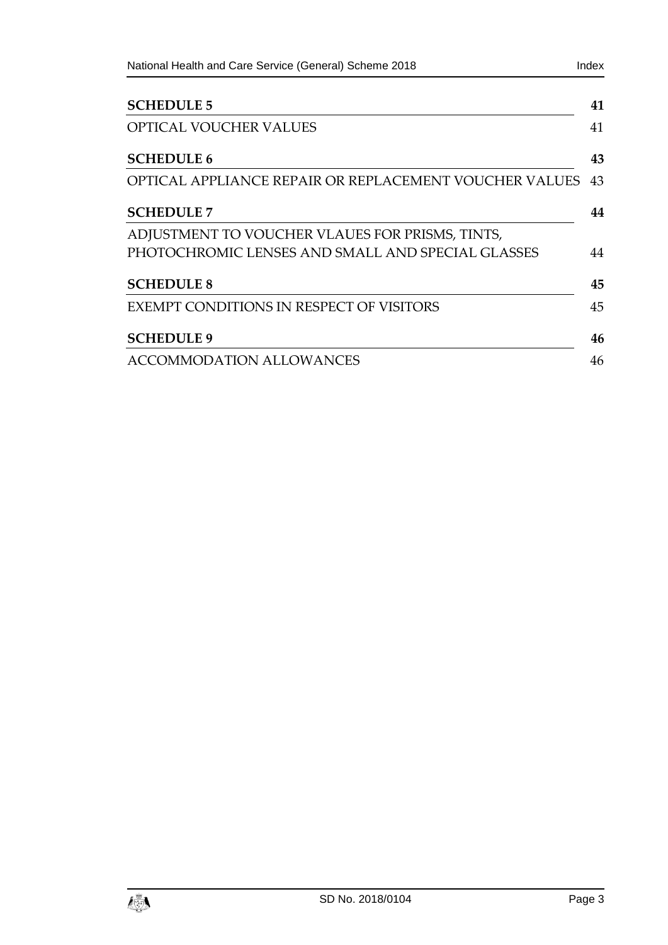| National Health and Care Service (General) Scheme 2018 | Index |
|--------------------------------------------------------|-------|
| <b>SCHEDULE 5</b>                                      | 41    |
| <b>OPTICAL VOUCHER VALUES</b>                          | 41    |
| <b>SCHEDULE 6</b>                                      | 43    |
| OPTICAL APPLIANCE REPAIR OR REPLACEMENT VOUCHER VALUES | 43    |
| <b>SCHEDULE 7</b>                                      | 44    |
| ADJUSTMENT TO VOUCHER VLAUES FOR PRISMS, TINTS,        |       |
| PHOTOCHROMIC LENSES AND SMALL AND SPECIAL GLASSES      | 44    |
| <b>SCHEDULE 8</b>                                      | 45    |
| EXEMPT CONDITIONS IN RESPECT OF VISITORS               | 45    |
| <b>SCHEDULE 9</b>                                      | 46    |
| <b>ACCOMMODATION ALLOWANCES</b>                        | 46    |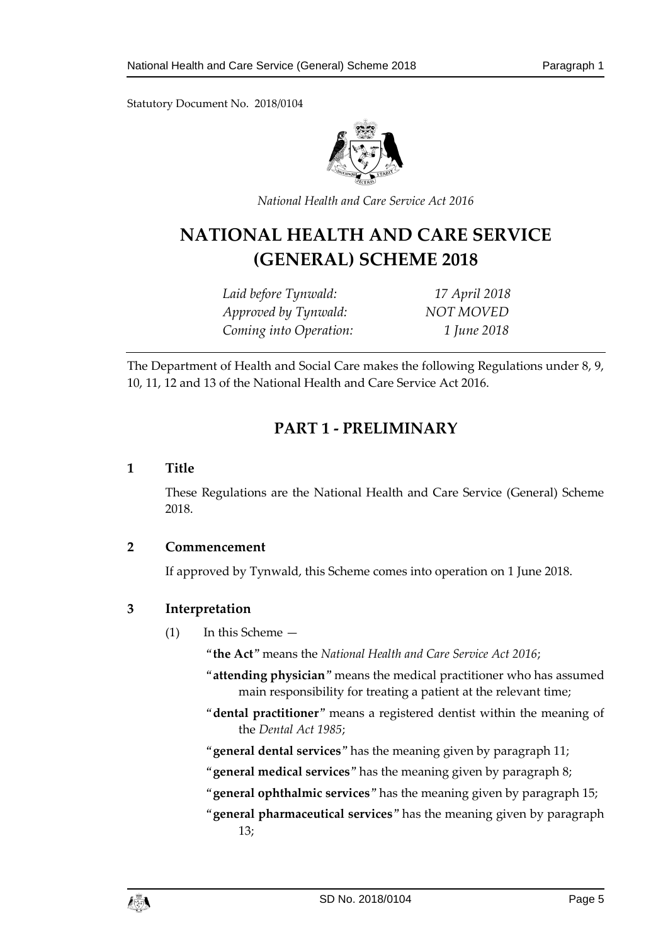

*National Health and Care Service Act 2016*

# **NATIONAL HEALTH AND CARE SERVICE (GENERAL) SCHEME 2018**

*Laid before Tynwald: 17 April 2018 Approved by Tynwald: NOT MOVED Coming into Operation: 1 June 2018*

<span id="page-4-0"></span>The Department of Health and Social Care makes the following Regulations under 8, 9, 10, 11, 12 and 13 of the National Health and Care Service Act 2016.

# **PART 1 - PRELIMINARY**

### <span id="page-4-1"></span>**1 Title**

These Regulations are the National Health and Care Service (General) Scheme 2018.

#### <span id="page-4-2"></span>**2 Commencement**

If approved by Tynwald, this Scheme comes into operation on 1 June 2018.

# <span id="page-4-3"></span>**3 Interpretation**

- (1) In this Scheme
	- "**the Act**" means the *National Health and Care Service Act 2016*;
	- "**attending physician**" means the medical practitioner who has assumed main responsibility for treating a patient at the relevant time;
	- "**dental practitioner**" means a registered dentist within the meaning of the *Dental Act 1985*;
	- "**general dental services**" has the meaning given by paragraph 11;
	- "**general medical services**" has the meaning given by paragraph 8;
	- "**general ophthalmic services**" has the meaning given by paragraph 15;
	- "**general pharmaceutical services**" has the meaning given by paragraph 13;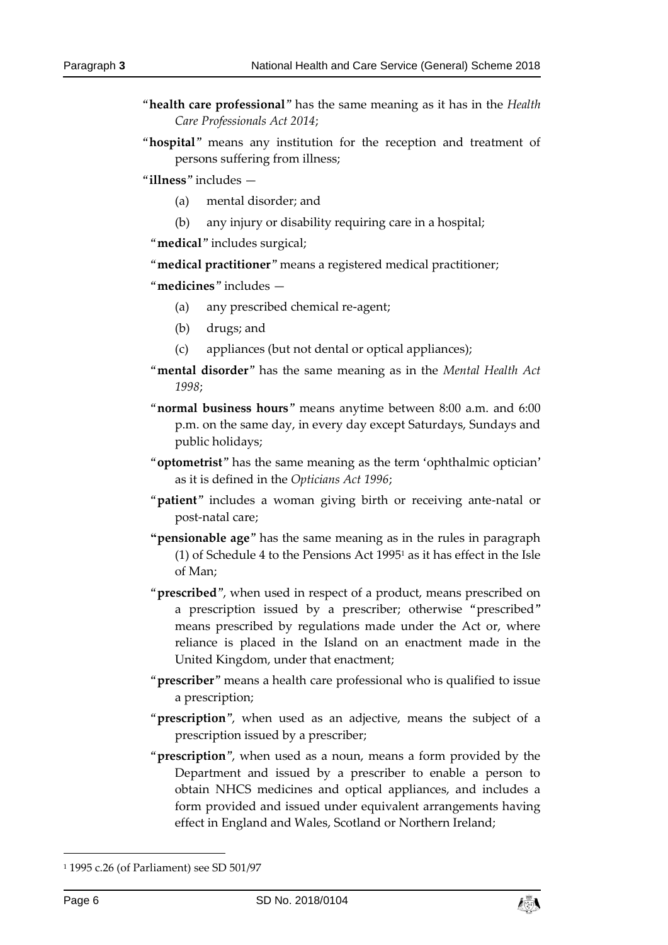- "**health care professional**" has the same meaning as it has in the *Health Care Professionals Act 2014*;
- "**hospital**" means any institution for the reception and treatment of persons suffering from illness;

"**illness**" includes —

- (a) mental disorder; and
- (b) any injury or disability requiring care in a hospital;

"**medical**" includes surgical;

"**medical practitioner**" means a registered medical practitioner;

"**medicines**" includes —

- (a) any prescribed chemical re-agent;
- (b) drugs; and
- (c) appliances (but not dental or optical appliances);
- "**mental disorder**" has the same meaning as in the *Mental Health Act 1998*;
- "**normal business hours**" means anytime between 8:00 a.m. and 6:00 p.m. on the same day, in every day except Saturdays, Sundays and public holidays;
- "**optometrist**" has the same meaning as the term 'ophthalmic optician' as it is defined in the *Opticians Act 1996*;
- "**patient**" includes a woman giving birth or receiving ante-natal or post-natal care;
- **"pensionable age**" has the same meaning as in the rules in paragraph (1) of Schedule 4 to the Pensions Act 1995<sup>1</sup> as it has effect in the Isle of Man;
- "**prescribed**", when used in respect of a product, means prescribed on a prescription issued by a prescriber; otherwise "prescribed" means prescribed by regulations made under the Act or, where reliance is placed in the Island on an enactment made in the United Kingdom, under that enactment;
- "**prescriber**" means a health care professional who is qualified to issue a prescription;
- "**prescription**", when used as an adjective, means the subject of a prescription issued by a prescriber;
- "**prescription**", when used as a noun, means a form provided by the Department and issued by a prescriber to enable a person to obtain NHCS medicines and optical appliances, and includes a form provided and issued under equivalent arrangements having effect in England and Wales, Scotland or Northern Ireland;

-



<sup>1</sup> 1995 c.26 (of Parliament) see SD 501/97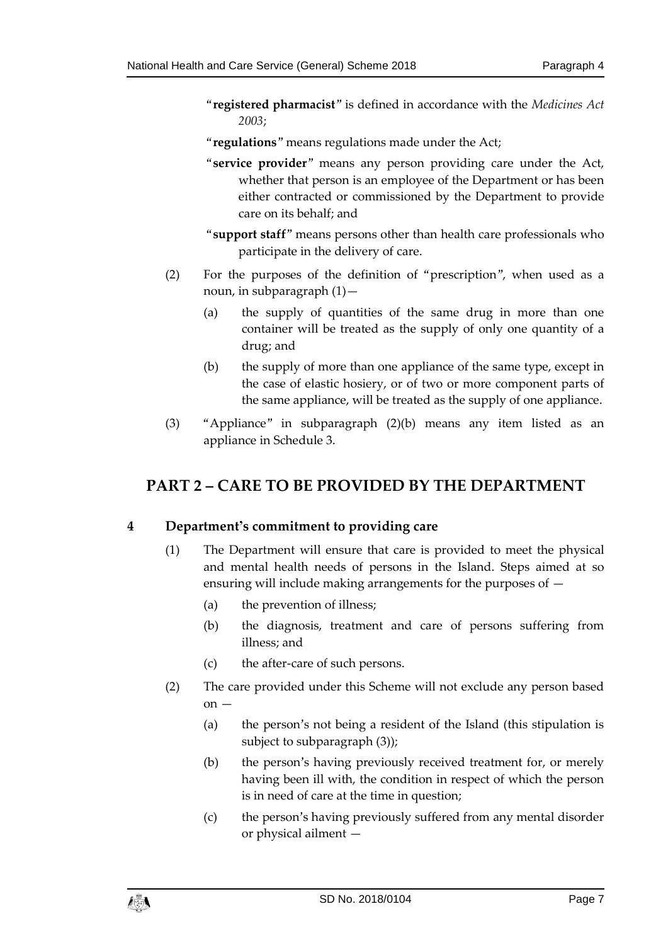- "**registered pharmacist**" is defined in accordance with the *Medicines Act 2003*;
- "**regulations**" means regulations made under the Act;
- "**service provider**" means any person providing care under the Act, whether that person is an employee of the Department or has been either contracted or commissioned by the Department to provide care on its behalf; and
- "**support staff**" means persons other than health care professionals who participate in the delivery of care.
- (2) For the purposes of the definition of "prescription", when used as a noun, in subparagraph (1)—
	- (a) the supply of quantities of the same drug in more than one container will be treated as the supply of only one quantity of a drug; and
	- (b) the supply of more than one appliance of the same type, except in the case of elastic hosiery, or of two or more component parts of the same appliance, will be treated as the supply of one appliance.
- (3) "Appliance" in subparagraph (2)(b) means any item listed as an appliance in Schedule 3.

# <span id="page-6-0"></span>**PART 2 – CARE TO BE PROVIDED BY THE DEPARTMENT**

# <span id="page-6-1"></span>**4 Department's commitment to providing care**

- (1) The Department will ensure that care is provided to meet the physical and mental health needs of persons in the Island. Steps aimed at so ensuring will include making arrangements for the purposes of —
	- (a) the prevention of illness;
	- (b) the diagnosis, treatment and care of persons suffering from illness; and
	- (c) the after-care of such persons.
- (2) The care provided under this Scheme will not exclude any person based  $on -$ 
	- (a) the person's not being a resident of the Island (this stipulation is subject to subparagraph (3));
	- (b) the person's having previously received treatment for, or merely having been ill with, the condition in respect of which the person is in need of care at the time in question;
	- (c) the person's having previously suffered from any mental disorder or physical ailment —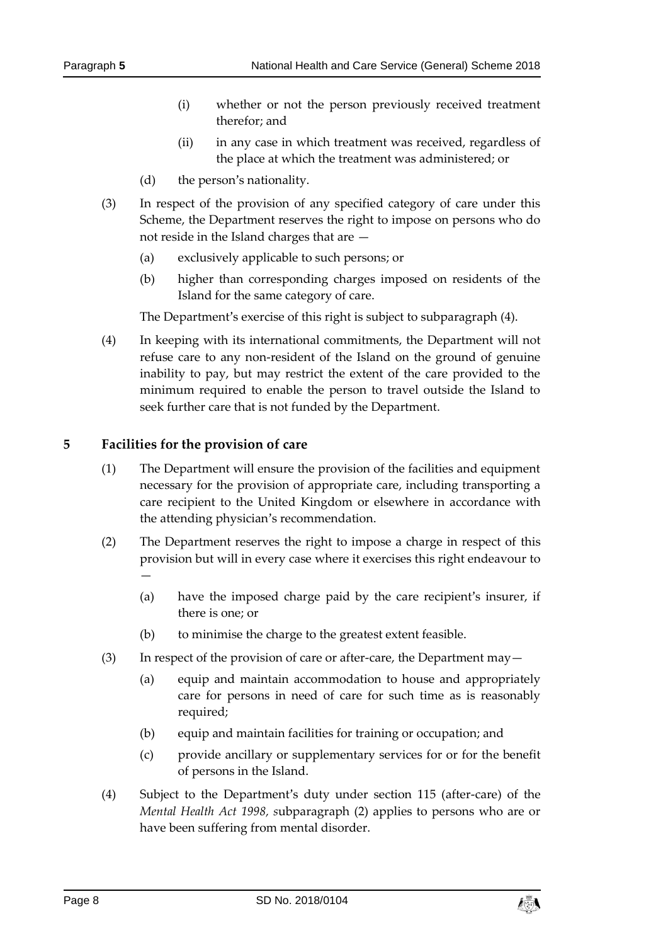- (i) whether or not the person previously received treatment therefor; and
- (ii) in any case in which treatment was received, regardless of the place at which the treatment was administered; or
- (d) the person's nationality.
- (3) In respect of the provision of any specified category of care under this Scheme, the Department reserves the right to impose on persons who do not reside in the Island charges that are —
	- (a) exclusively applicable to such persons; or
	- (b) higher than corresponding charges imposed on residents of the Island for the same category of care.

The Department's exercise of this right is subject to subparagraph (4).

(4) In keeping with its international commitments, the Department will not refuse care to any non-resident of the Island on the ground of genuine inability to pay, but may restrict the extent of the care provided to the minimum required to enable the person to travel outside the Island to seek further care that is not funded by the Department.

### <span id="page-7-0"></span>**5 Facilities for the provision of care**

- (1) The Department will ensure the provision of the facilities and equipment necessary for the provision of appropriate care, including transporting a care recipient to the United Kingdom or elsewhere in accordance with the attending physician's recommendation.
- (2) The Department reserves the right to impose a charge in respect of this provision but will in every case where it exercises this right endeavour to —
	- (a) have the imposed charge paid by the care recipient's insurer, if there is one; or
	- (b) to minimise the charge to the greatest extent feasible.
- (3) In respect of the provision of care or after-care, the Department may—
	- (a) equip and maintain accommodation to house and appropriately care for persons in need of care for such time as is reasonably required;
	- (b) equip and maintain facilities for training or occupation; and
	- (c) provide ancillary or supplementary services for or for the benefit of persons in the Island.
- (4) Subject to the Department's duty under section 115 (after-care) of the *Mental Health Act 1998, s*ubparagraph (2) applies to persons who are or have been suffering from mental disorder.

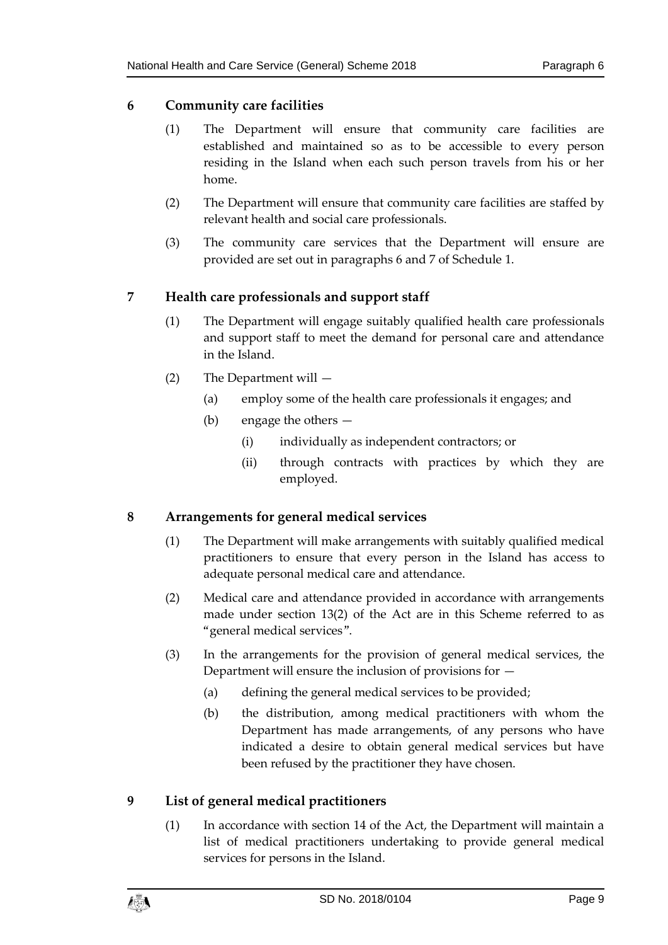# <span id="page-8-0"></span>**6 Community care facilities**

- (1) The Department will ensure that community care facilities are established and maintained so as to be accessible to every person residing in the Island when each such person travels from his or her home.
- (2) The Department will ensure that community care facilities are staffed by relevant health and social care professionals.
- (3) The community care services that the Department will ensure are provided are set out in paragraphs 6 and 7 of Schedule 1.

# <span id="page-8-1"></span>**7 Health care professionals and support staff**

- (1) The Department will engage suitably qualified health care professionals and support staff to meet the demand for personal care and attendance in the Island.
- (2) The Department will
	- (a) employ some of the health care professionals it engages; and
	- (b) engage the others
		- (i) individually as independent contractors; or
		- (ii) through contracts with practices by which they are employed.

# <span id="page-8-2"></span>**8 Arrangements for general medical services**

- (1) The Department will make arrangements with suitably qualified medical practitioners to ensure that every person in the Island has access to adequate personal medical care and attendance.
- (2) Medical care and attendance provided in accordance with arrangements made under section 13(2) of the Act are in this Scheme referred to as "general medical services".
- (3) In the arrangements for the provision of general medical services, the Department will ensure the inclusion of provisions for —
	- (a) defining the general medical services to be provided;
	- (b) the distribution, among medical practitioners with whom the Department has made arrangements, of any persons who have indicated a desire to obtain general medical services but have been refused by the practitioner they have chosen.

# <span id="page-8-3"></span>**9 List of general medical practitioners**

(1) In accordance with section 14 of the Act, the Department will maintain a list of medical practitioners undertaking to provide general medical services for persons in the Island.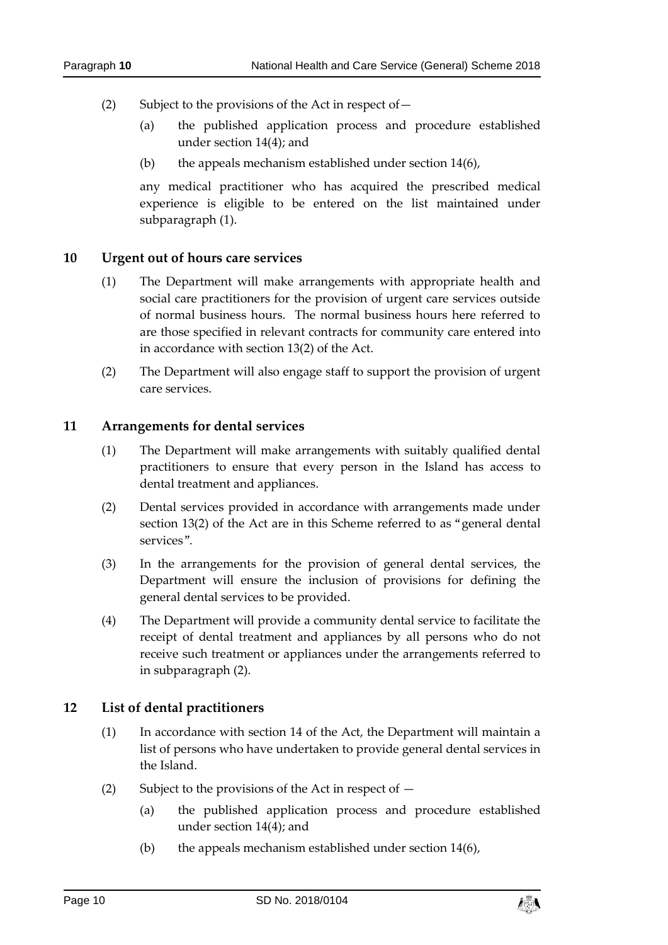- (2) Subject to the provisions of the Act in respect of—
	- (a) the published application process and procedure established under section 14(4); and
	- (b) the appeals mechanism established under section 14(6),

any medical practitioner who has acquired the prescribed medical experience is eligible to be entered on the list maintained under subparagraph (1).

### <span id="page-9-0"></span>**10 Urgent out of hours care services**

- (1) The Department will make arrangements with appropriate health and social care practitioners for the provision of urgent care services outside of normal business hours. The normal business hours here referred to are those specified in relevant contracts for community care entered into in accordance with section 13(2) of the Act.
- (2) The Department will also engage staff to support the provision of urgent care services.

### <span id="page-9-1"></span>**11 Arrangements for dental services**

- (1) The Department will make arrangements with suitably qualified dental practitioners to ensure that every person in the Island has access to dental treatment and appliances.
- (2) Dental services provided in accordance with arrangements made under section 13(2) of the Act are in this Scheme referred to as "general dental services".
- (3) In the arrangements for the provision of general dental services, the Department will ensure the inclusion of provisions for defining the general dental services to be provided.
- (4) The Department will provide a community dental service to facilitate the receipt of dental treatment and appliances by all persons who do not receive such treatment or appliances under the arrangements referred to in subparagraph (2).

# <span id="page-9-2"></span>**12 List of dental practitioners**

- (1) In accordance with section 14 of the Act, the Department will maintain a list of persons who have undertaken to provide general dental services in the Island.
- (2) Subject to the provisions of the Act in respect of  $-$ 
	- (a) the published application process and procedure established under section 14(4); and
	- (b) the appeals mechanism established under section 14(6),

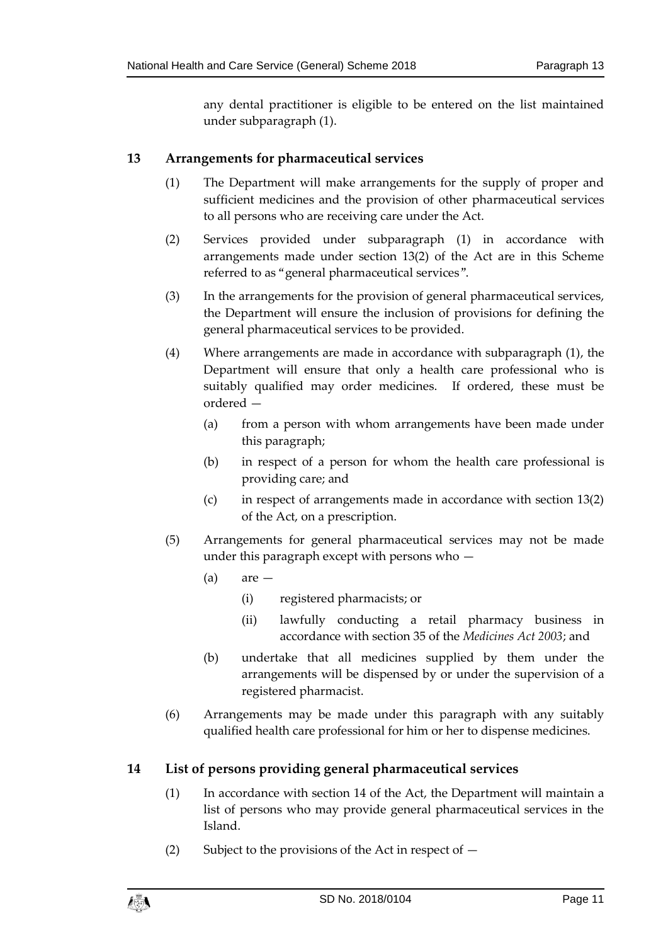any dental practitioner is eligible to be entered on the list maintained under subparagraph (1).

# <span id="page-10-0"></span>**13 Arrangements for pharmaceutical services**

- (1) The Department will make arrangements for the supply of proper and sufficient medicines and the provision of other pharmaceutical services to all persons who are receiving care under the Act.
- (2) Services provided under subparagraph (1) in accordance with arrangements made under section 13(2) of the Act are in this Scheme referred to as "general pharmaceutical services".
- (3) In the arrangements for the provision of general pharmaceutical services, the Department will ensure the inclusion of provisions for defining the general pharmaceutical services to be provided.
- (4) Where arrangements are made in accordance with subparagraph (1), the Department will ensure that only a health care professional who is suitably qualified may order medicines. If ordered, these must be ordered —
	- (a) from a person with whom arrangements have been made under this paragraph;
	- (b) in respect of a person for whom the health care professional is providing care; and
	- (c) in respect of arrangements made in accordance with section 13(2) of the Act, on a prescription.
- (5) Arrangements for general pharmaceutical services may not be made under this paragraph except with persons who —
	- $(a)$  are  $-$ 
		- (i) registered pharmacists; or
		- (ii) lawfully conducting a retail pharmacy business in accordance with section 35 of the *Medicines Act 2003*; and
	- (b) undertake that all medicines supplied by them under the arrangements will be dispensed by or under the supervision of a registered pharmacist.
- (6) Arrangements may be made under this paragraph with any suitably qualified health care professional for him or her to dispense medicines.

# <span id="page-10-1"></span>**14 List of persons providing general pharmaceutical services**

- (1) In accordance with section 14 of the Act, the Department will maintain a list of persons who may provide general pharmaceutical services in the Island.
- (2) Subject to the provisions of the Act in respect of  $-$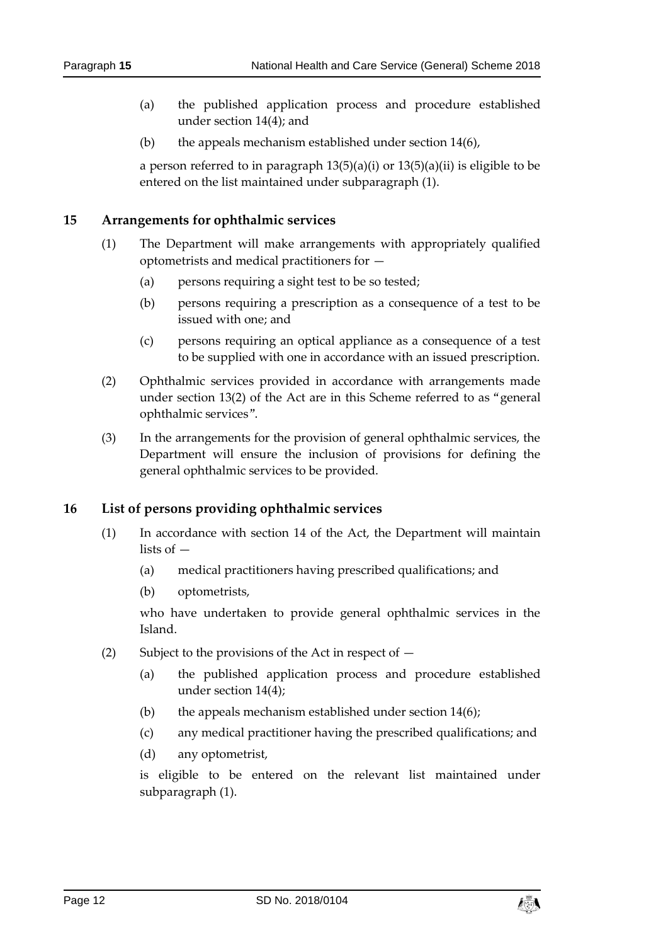- (a) the published application process and procedure established under section 14(4); and
- (b) the appeals mechanism established under section 14(6),

a person referred to in paragraph 13(5)(a)(i) or 13(5)(a)(ii) is eligible to be entered on the list maintained under subparagraph (1).

#### <span id="page-11-0"></span>**15 Arrangements for ophthalmic services**

- (1) The Department will make arrangements with appropriately qualified optometrists and medical practitioners for —
	- (a) persons requiring a sight test to be so tested;
	- (b) persons requiring a prescription as a consequence of a test to be issued with one; and
	- (c) persons requiring an optical appliance as a consequence of a test to be supplied with one in accordance with an issued prescription.
- (2) Ophthalmic services provided in accordance with arrangements made under section 13(2) of the Act are in this Scheme referred to as "general ophthalmic services".
- (3) In the arrangements for the provision of general ophthalmic services, the Department will ensure the inclusion of provisions for defining the general ophthalmic services to be provided.

# <span id="page-11-1"></span>**16 List of persons providing ophthalmic services**

- (1) In accordance with section 14 of the Act, the Department will maintain lists of —
	- (a) medical practitioners having prescribed qualifications; and
	- (b) optometrists,

who have undertaken to provide general ophthalmic services in the Island.

- (2) Subject to the provisions of the Act in respect of
	- (a) the published application process and procedure established under section 14(4);
	- (b) the appeals mechanism established under section  $14(6)$ ;
	- (c) any medical practitioner having the prescribed qualifications; and
	- (d) any optometrist,

is eligible to be entered on the relevant list maintained under subparagraph (1).

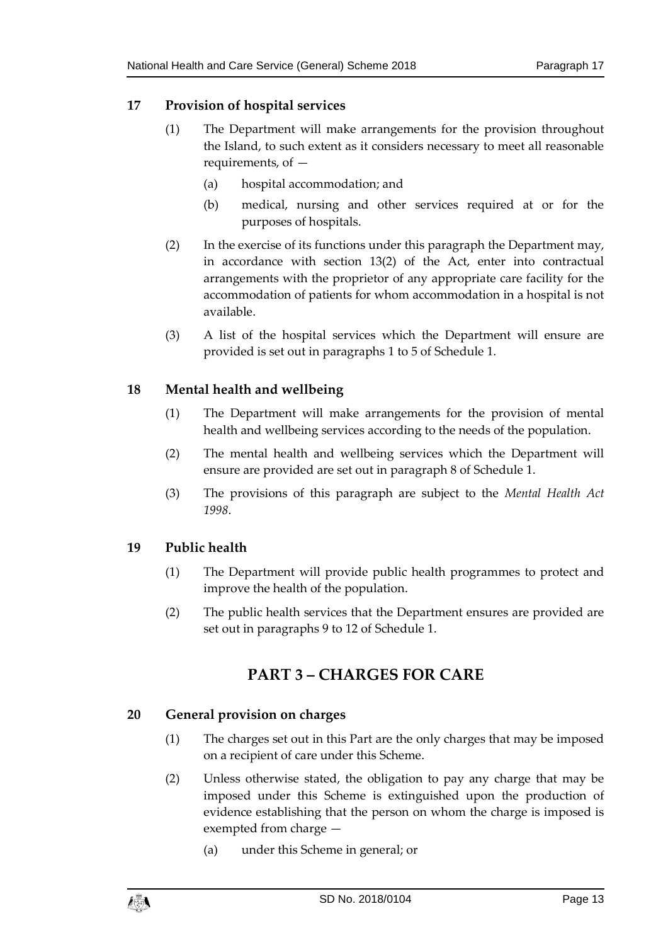# <span id="page-12-0"></span>**17 Provision of hospital services**

- (1) The Department will make arrangements for the provision throughout the Island, to such extent as it considers necessary to meet all reasonable requirements, of —
	- (a) hospital accommodation; and
	- (b) medical, nursing and other services required at or for the purposes of hospitals.
- (2) In the exercise of its functions under this paragraph the Department may, in accordance with section 13(2) of the Act, enter into contractual arrangements with the proprietor of any appropriate care facility for the accommodation of patients for whom accommodation in a hospital is not available.
- (3) A list of the hospital services which the Department will ensure are provided is set out in paragraphs 1 to 5 of Schedule 1.

### <span id="page-12-1"></span>**18 Mental health and wellbeing**

- (1) The Department will make arrangements for the provision of mental health and wellbeing services according to the needs of the population.
- (2) The mental health and wellbeing services which the Department will ensure are provided are set out in paragraph 8 of Schedule 1.
- (3) The provisions of this paragraph are subject to the *Mental Health Act 1998*.

# <span id="page-12-2"></span>**19 Public health**

- (1) The Department will provide public health programmes to protect and improve the health of the population.
- <span id="page-12-3"></span>(2) The public health services that the Department ensures are provided are set out in paragraphs 9 to 12 of Schedule 1.

# **PART 3 – CHARGES FOR CARE**

#### <span id="page-12-4"></span>**20 General provision on charges**

- (1) The charges set out in this Part are the only charges that may be imposed on a recipient of care under this Scheme.
- (2) Unless otherwise stated, the obligation to pay any charge that may be imposed under this Scheme is extinguished upon the production of evidence establishing that the person on whom the charge is imposed is exempted from charge —
	- (a) under this Scheme in general; or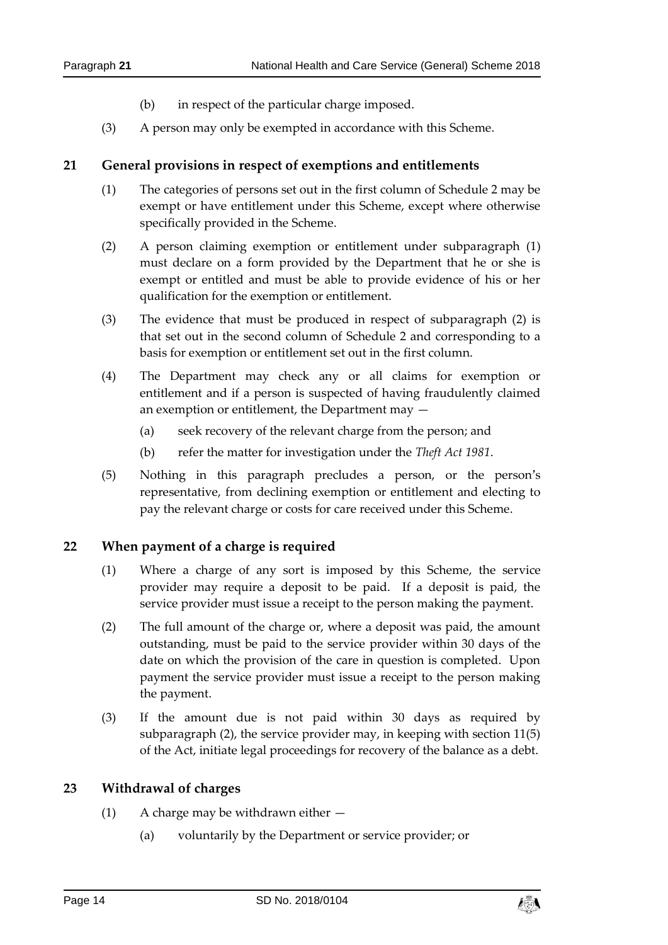- (b) in respect of the particular charge imposed.
- (3) A person may only be exempted in accordance with this Scheme.

#### <span id="page-13-0"></span>**21 General provisions in respect of exemptions and entitlements**

- (1) The categories of persons set out in the first column of Schedule 2 may be exempt or have entitlement under this Scheme, except where otherwise specifically provided in the Scheme.
- (2) A person claiming exemption or entitlement under subparagraph (1) must declare on a form provided by the Department that he or she is exempt or entitled and must be able to provide evidence of his or her qualification for the exemption or entitlement.
- (3) The evidence that must be produced in respect of subparagraph (2) is that set out in the second column of Schedule 2 and corresponding to a basis for exemption or entitlement set out in the first column.
- (4) The Department may check any or all claims for exemption or entitlement and if a person is suspected of having fraudulently claimed an exemption or entitlement, the Department may —
	- (a) seek recovery of the relevant charge from the person; and
	- (b) refer the matter for investigation under the *Theft Act 1981*.
- (5) Nothing in this paragraph precludes a person, or the person's representative, from declining exemption or entitlement and electing to pay the relevant charge or costs for care received under this Scheme.

#### <span id="page-13-1"></span>**22 When payment of a charge is required**

- (1) Where a charge of any sort is imposed by this Scheme, the service provider may require a deposit to be paid. If a deposit is paid, the service provider must issue a receipt to the person making the payment.
- (2) The full amount of the charge or, where a deposit was paid, the amount outstanding, must be paid to the service provider within 30 days of the date on which the provision of the care in question is completed. Upon payment the service provider must issue a receipt to the person making the payment.
- (3) If the amount due is not paid within 30 days as required by subparagraph (2), the service provider may, in keeping with section 11(5) of the Act, initiate legal proceedings for recovery of the balance as a debt.

#### <span id="page-13-2"></span>**23 Withdrawal of charges**

- (1) A charge may be withdrawn either  $-$ 
	- (a) voluntarily by the Department or service provider; or

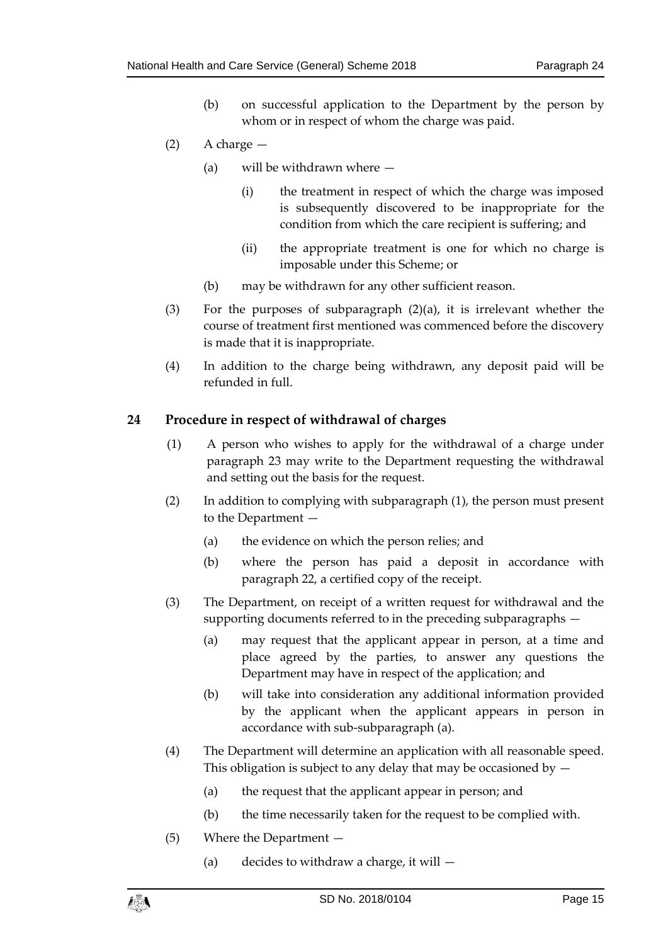- (b) on successful application to the Department by the person by whom or in respect of whom the charge was paid.
- (2) A charge
	- (a) will be withdrawn where
		- (i) the treatment in respect of which the charge was imposed is subsequently discovered to be inappropriate for the condition from which the care recipient is suffering; and
		- (ii) the appropriate treatment is one for which no charge is imposable under this Scheme; or
	- (b) may be withdrawn for any other sufficient reason.
- (3) For the purposes of subparagraph (2)(a), it is irrelevant whether the course of treatment first mentioned was commenced before the discovery is made that it is inappropriate.
- (4) In addition to the charge being withdrawn, any deposit paid will be refunded in full.

#### <span id="page-14-0"></span>**24 Procedure in respect of withdrawal of charges**

- (1) A person who wishes to apply for the withdrawal of a charge under paragraph 23 may write to the Department requesting the withdrawal and setting out the basis for the request.
- (2) In addition to complying with subparagraph (1), the person must present to the Department —
	- (a) the evidence on which the person relies; and
	- (b) where the person has paid a deposit in accordance with paragraph 22, a certified copy of the receipt.
- (3) The Department, on receipt of a written request for withdrawal and the supporting documents referred to in the preceding subparagraphs —
	- (a) may request that the applicant appear in person, at a time and place agreed by the parties, to answer any questions the Department may have in respect of the application; and
	- (b) will take into consideration any additional information provided by the applicant when the applicant appears in person in accordance with sub-subparagraph (a).
- (4) The Department will determine an application with all reasonable speed. This obligation is subject to any delay that may be occasioned by  $-$ 
	- (a) the request that the applicant appear in person; and
	- (b) the time necessarily taken for the request to be complied with.
- (5) Where the Department
	- (a) decides to withdraw a charge, it will  $-$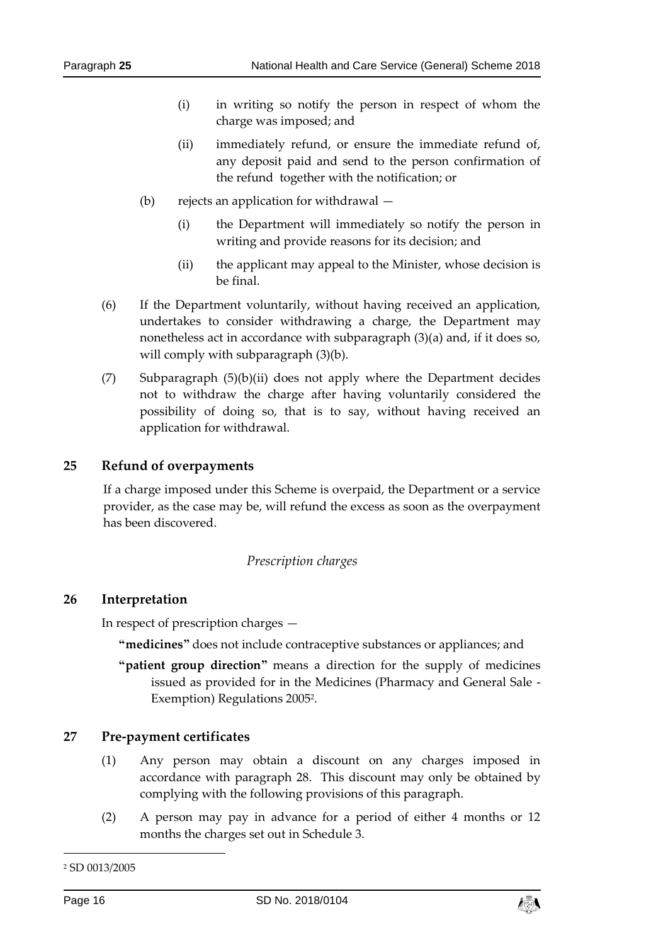- (i) in writing so notify the person in respect of whom the charge was imposed; and
- (ii) immediately refund, or ensure the immediate refund of, any deposit paid and send to the person confirmation of the refund together with the notification; or
- (b) rejects an application for withdrawal
	- (i) the Department will immediately so notify the person in writing and provide reasons for its decision; and
	- (ii) the applicant may appeal to the Minister, whose decision is be final.
- (6) If the Department voluntarily, without having received an application, undertakes to consider withdrawing a charge, the Department may nonetheless act in accordance with subparagraph (3)(a) and, if it does so, will comply with subparagraph  $(3)(b)$ .
- (7) Subparagraph (5)(b)(ii) does not apply where the Department decides not to withdraw the charge after having voluntarily considered the possibility of doing so, that is to say, without having received an application for withdrawal.

### <span id="page-15-0"></span>**25 Refund of overpayments**

If a charge imposed under this Scheme is overpaid, the Department or a service provider, as the case may be, will refund the excess as soon as the overpayment has been discovered.

#### *Prescription charges*

#### <span id="page-15-2"></span><span id="page-15-1"></span>**26 Interpretation**

In respect of prescription charges —

**"medicines"** does not include contraceptive substances or appliances; and

**"patient group direction"** means a direction for the supply of medicines issued as provided for in the Medicines (Pharmacy and General Sale - Exemption) Regulations 2005<sup>2</sup>.

#### <span id="page-15-3"></span>**27 Pre-payment certificates**

- (1) Any person may obtain a discount on any charges imposed in accordance with paragraph 28. This discount may only be obtained by complying with the following provisions of this paragraph.
- (2) A person may pay in advance for a period of either 4 months or 12 months the charges set out in Schedule 3.

-



<sup>2</sup> SD 0013/2005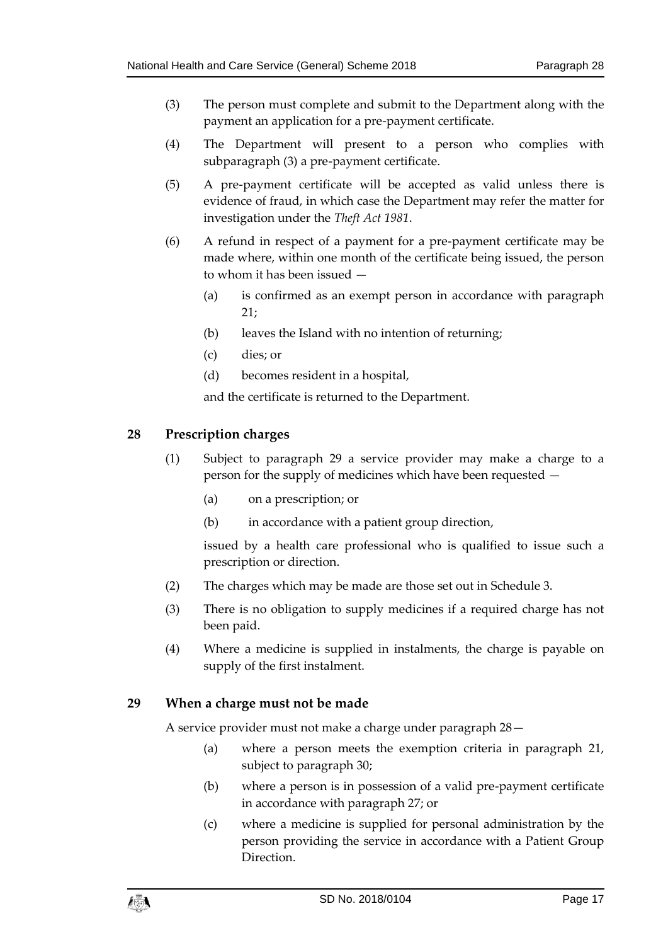- (3) The person must complete and submit to the Department along with the payment an application for a pre-payment certificate.
- (4) The Department will present to a person who complies with subparagraph (3) a pre-payment certificate.
- (5) A pre-payment certificate will be accepted as valid unless there is evidence of fraud, in which case the Department may refer the matter for investigation under the *Theft Act 1981*.
- (6) A refund in respect of a payment for a pre-payment certificate may be made where, within one month of the certificate being issued, the person to whom it has been issued —
	- (a) is confirmed as an exempt person in accordance with paragraph 21;
	- (b) leaves the Island with no intention of returning;
	- (c) dies; or
	- (d) becomes resident in a hospital,

and the certificate is returned to the Department.

### <span id="page-16-0"></span>**28 Prescription charges**

- (1) Subject to paragraph 29 a service provider may make a charge to a person for the supply of medicines which have been requested —
	- (a) on a prescription; or
	- (b) in accordance with a patient group direction,

issued by a health care professional who is qualified to issue such a prescription or direction.

- (2) The charges which may be made are those set out in Schedule 3.
- (3) There is no obligation to supply medicines if a required charge has not been paid.
- (4) Where a medicine is supplied in instalments, the charge is payable on supply of the first instalment.

#### <span id="page-16-1"></span>**29 When a charge must not be made**

A service provider must not make a charge under paragraph 28—

- (a) where a person meets the exemption criteria in paragraph 21, subject to paragraph 30;
- (b) where a person is in possession of a valid pre-payment certificate in accordance with paragraph 27; or
- (c) where a medicine is supplied for personal administration by the person providing the service in accordance with a Patient Group **Direction**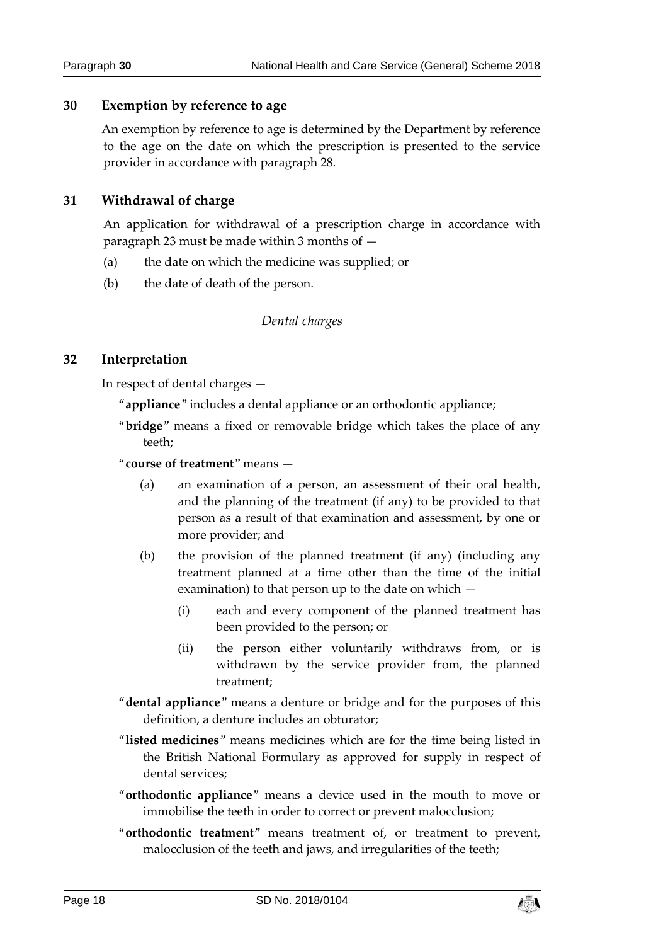#### <span id="page-17-0"></span>**30 Exemption by reference to age**

An exemption by reference to age is determined by the Department by reference to the age on the date on which the prescription is presented to the service provider in accordance with paragraph 28.

### <span id="page-17-1"></span>**31 Withdrawal of charge**

An application for withdrawal of a prescription charge in accordance with paragraph 23 must be made within 3 months of —

- (a) the date on which the medicine was supplied; or
- <span id="page-17-2"></span>(b) the date of death of the person.

#### *Dental charges*

### <span id="page-17-3"></span>**32 Interpretation**

In respect of dental charges —

- "**appliance**" includes a dental appliance or an orthodontic appliance;
- "**bridge**" means a fixed or removable bridge which takes the place of any teeth;
- "**course of treatment**" means
	- (a) an examination of a person, an assessment of their oral health, and the planning of the treatment (if any) to be provided to that person as a result of that examination and assessment, by one or more provider; and
	- (b) the provision of the planned treatment (if any) (including any treatment planned at a time other than the time of the initial examination) to that person up to the date on which —
		- (i) each and every component of the planned treatment has been provided to the person; or
		- (ii) the person either voluntarily withdraws from, or is withdrawn by the service provider from, the planned treatment;
- "**dental appliance**" means a denture or bridge and for the purposes of this definition, a denture includes an obturator;
- "**listed medicines**" means medicines which are for the time being listed in the British National Formulary as approved for supply in respect of dental services;
- "**orthodontic appliance**" means a device used in the mouth to move or immobilise the teeth in order to correct or prevent malocclusion;
- "**orthodontic treatment**" means treatment of, or treatment to prevent, malocclusion of the teeth and jaws, and irregularities of the teeth;

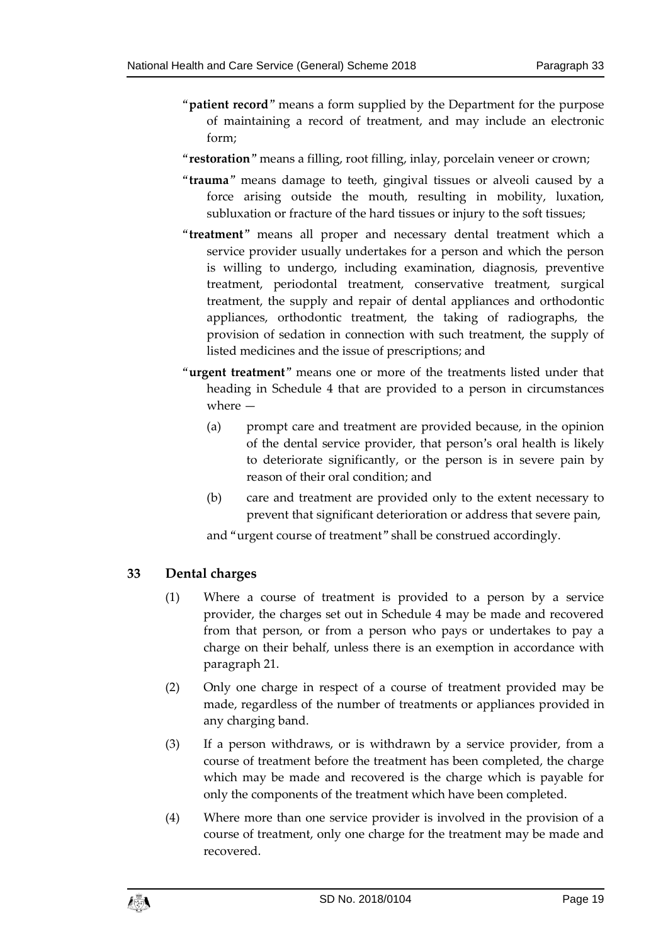- "**patient record**" means a form supplied by the Department for the purpose of maintaining a record of treatment, and may include an electronic form;
- "**restoration**" means a filling, root filling, inlay, porcelain veneer or crown;
- "**trauma**" means damage to teeth, gingival tissues or alveoli caused by a force arising outside the mouth, resulting in mobility, luxation, subluxation or fracture of the hard tissues or injury to the soft tissues;
- "**treatment**" means all proper and necessary dental treatment which a service provider usually undertakes for a person and which the person is willing to undergo, including examination, diagnosis, preventive treatment, periodontal treatment, conservative treatment, surgical treatment, the supply and repair of dental appliances and orthodontic appliances, orthodontic treatment, the taking of radiographs, the provision of sedation in connection with such treatment, the supply of listed medicines and the issue of prescriptions; and
- "**urgent treatment**" means one or more of the treatments listed under that heading in Schedule 4 that are provided to a person in circumstances where —
	- (a) prompt care and treatment are provided because, in the opinion of the dental service provider, that person's oral health is likely to deteriorate significantly, or the person is in severe pain by reason of their oral condition; and
	- (b) care and treatment are provided only to the extent necessary to prevent that significant deterioration or address that severe pain,

and "urgent course of treatment" shall be construed accordingly.

# <span id="page-18-0"></span>**33 Dental charges**

- (1) Where a course of treatment is provided to a person by a service provider, the charges set out in Schedule 4 may be made and recovered from that person, or from a person who pays or undertakes to pay a charge on their behalf, unless there is an exemption in accordance with paragraph 21.
- (2) Only one charge in respect of a course of treatment provided may be made, regardless of the number of treatments or appliances provided in any charging band.
- (3) If a person withdraws, or is withdrawn by a service provider, from a course of treatment before the treatment has been completed, the charge which may be made and recovered is the charge which is payable for only the components of the treatment which have been completed.
- (4) Where more than one service provider is involved in the provision of a course of treatment, only one charge for the treatment may be made and recovered.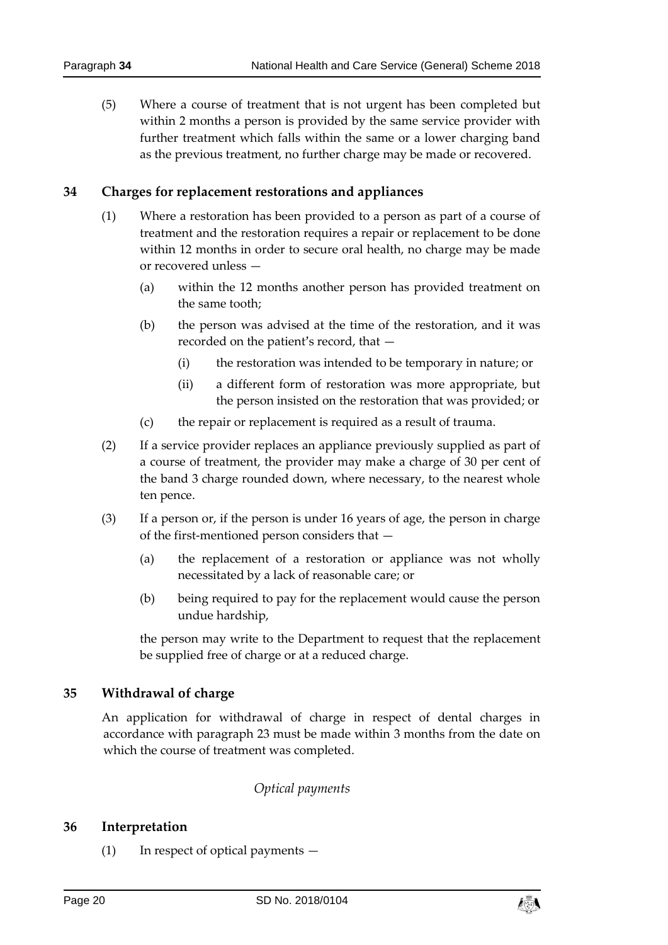(5) Where a course of treatment that is not urgent has been completed but within 2 months a person is provided by the same service provider with further treatment which falls within the same or a lower charging band as the previous treatment, no further charge may be made or recovered.

# <span id="page-19-0"></span>**34 Charges for replacement restorations and appliances**

- (1) Where a restoration has been provided to a person as part of a course of treatment and the restoration requires a repair or replacement to be done within 12 months in order to secure oral health, no charge may be made or recovered unless -
	- (a) within the 12 months another person has provided treatment on the same tooth;
	- (b) the person was advised at the time of the restoration, and it was recorded on the patient's record, that —
		- (i) the restoration was intended to be temporary in nature; or
		- (ii) a different form of restoration was more appropriate, but the person insisted on the restoration that was provided; or
	- (c) the repair or replacement is required as a result of trauma.
- (2) If a service provider replaces an appliance previously supplied as part of a course of treatment, the provider may make a charge of 30 per cent of the band 3 charge rounded down, where necessary, to the nearest whole ten pence.
- (3) If a person or, if the person is under 16 years of age, the person in charge of the first-mentioned person considers that —
	- (a) the replacement of a restoration or appliance was not wholly necessitated by a lack of reasonable care; or
	- (b) being required to pay for the replacement would cause the person undue hardship,

the person may write to the Department to request that the replacement be supplied free of charge or at a reduced charge.

# <span id="page-19-1"></span>**35 Withdrawal of charge**

An application for withdrawal of charge in respect of dental charges in accordance with paragraph 23 must be made within 3 months from the date on which the course of treatment was completed.

# *Optical payments*

# <span id="page-19-3"></span><span id="page-19-2"></span>**36 Interpretation**

(1) In respect of optical payments —

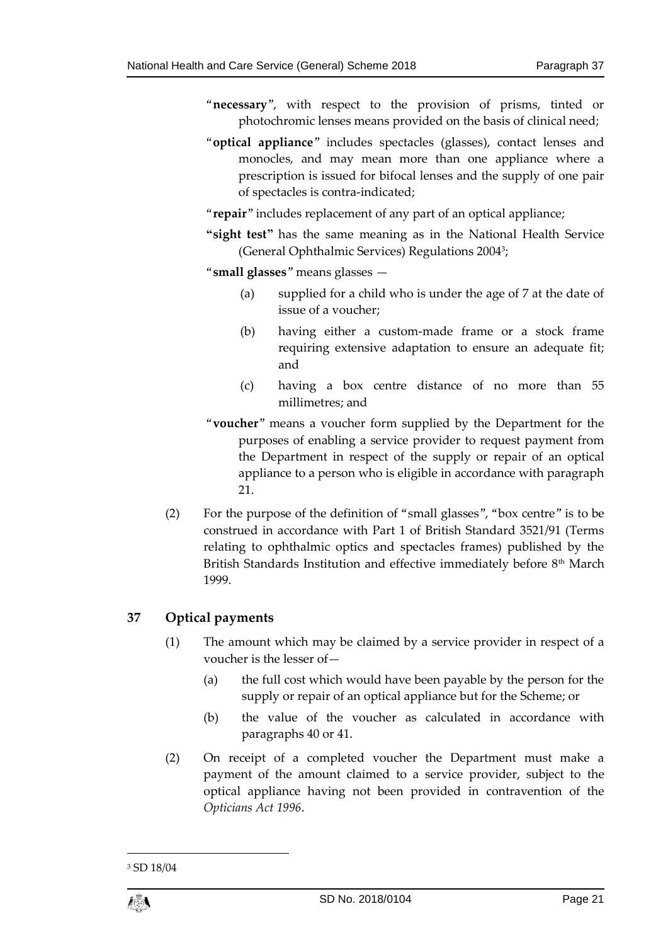- "**necessary**", with respect to the provision of prisms, tinted or photochromic lenses means provided on the basis of clinical need;
- "**optical appliance**" includes spectacles (glasses), contact lenses and monocles, and may mean more than one appliance where a prescription is issued for bifocal lenses and the supply of one pair of spectacles is contra-indicated;
- "**repair**" includes replacement of any part of an optical appliance;
- **"sight test"** has the same meaning as in the National Health Service (General Ophthalmic Services) Regulations 2004<sup>3</sup> ;
- "**small glasses**" means glasses
	- (a) supplied for a child who is under the age of 7 at the date of issue of a voucher;
	- (b) having either a custom-made frame or a stock frame requiring extensive adaptation to ensure an adequate fit; and
	- (c) having a box centre distance of no more than 55 millimetres; and
- "**voucher**" means a voucher form supplied by the Department for the purposes of enabling a service provider to request payment from the Department in respect of the supply or repair of an optical appliance to a person who is eligible in accordance with paragraph 21.
- (2) For the purpose of the definition of "small glasses", "box centre" is to be construed in accordance with Part 1 of British Standard 3521/91 (Terms relating to ophthalmic optics and spectacles frames) published by the British Standards Institution and effective immediately before 8<sup>th</sup> March 1999.

# <span id="page-20-0"></span>**37 Optical payments**

- (1) The amount which may be claimed by a service provider in respect of a voucher is the lesser of—
	- (a) the full cost which would have been payable by the person for the supply or repair of an optical appliance but for the Scheme; or
	- (b) the value of the voucher as calculated in accordance with paragraphs 40 or 41.
- (2) On receipt of a completed voucher the Department must make a payment of the amount claimed to a service provider, subject to the optical appliance having not been provided in contravention of the *Opticians Act 1996*.

<sup>3</sup> SD 18/04



1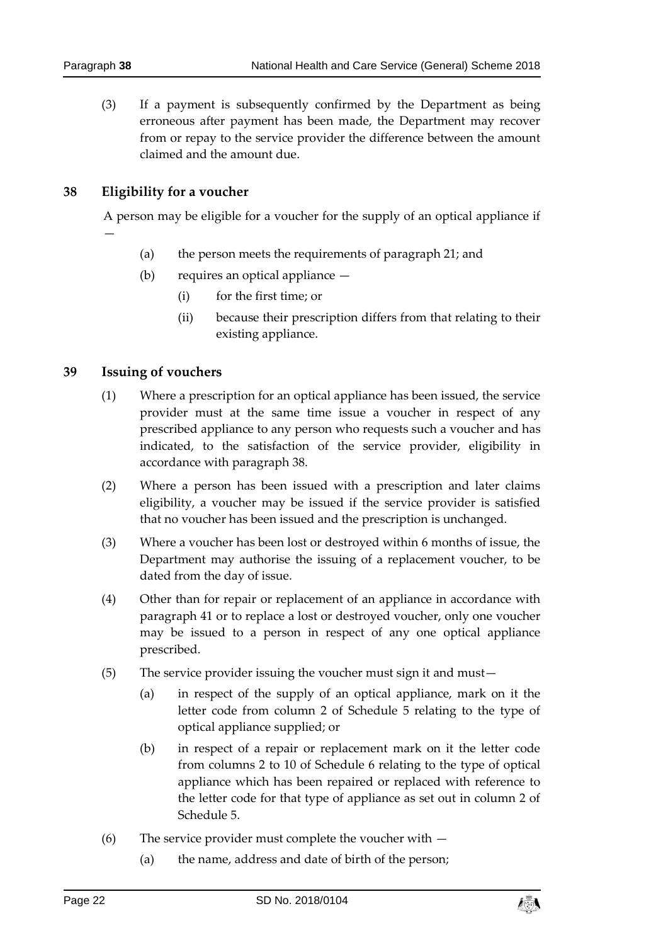(3) If a payment is subsequently confirmed by the Department as being erroneous after payment has been made, the Department may recover from or repay to the service provider the difference between the amount claimed and the amount due.

### <span id="page-21-0"></span>**38 Eligibility for a voucher**

A person may be eligible for a voucher for the supply of an optical appliance if —

- (a) the person meets the requirements of paragraph 21; and
- (b) requires an optical appliance
	- (i) for the first time; or
	- (ii) because their prescription differs from that relating to their existing appliance.

### <span id="page-21-1"></span>**39 Issuing of vouchers**

- (1) Where a prescription for an optical appliance has been issued, the service provider must at the same time issue a voucher in respect of any prescribed appliance to any person who requests such a voucher and has indicated, to the satisfaction of the service provider, eligibility in accordance with paragraph 38.
- (2) Where a person has been issued with a prescription and later claims eligibility, a voucher may be issued if the service provider is satisfied that no voucher has been issued and the prescription is unchanged.
- (3) Where a voucher has been lost or destroyed within 6 months of issue, the Department may authorise the issuing of a replacement voucher, to be dated from the day of issue.
- (4) Other than for repair or replacement of an appliance in accordance with paragraph 41 or to replace a lost or destroyed voucher, only one voucher may be issued to a person in respect of any one optical appliance prescribed.
- (5) The service provider issuing the voucher must sign it and must—
	- (a) in respect of the supply of an optical appliance, mark on it the letter code from column 2 of Schedule 5 relating to the type of optical appliance supplied; or
	- (b) in respect of a repair or replacement mark on it the letter code from columns 2 to 10 of Schedule 6 relating to the type of optical appliance which has been repaired or replaced with reference to the letter code for that type of appliance as set out in column 2 of Schedule 5.
- (6) The service provider must complete the voucher with
	- (a) the name, address and date of birth of the person;

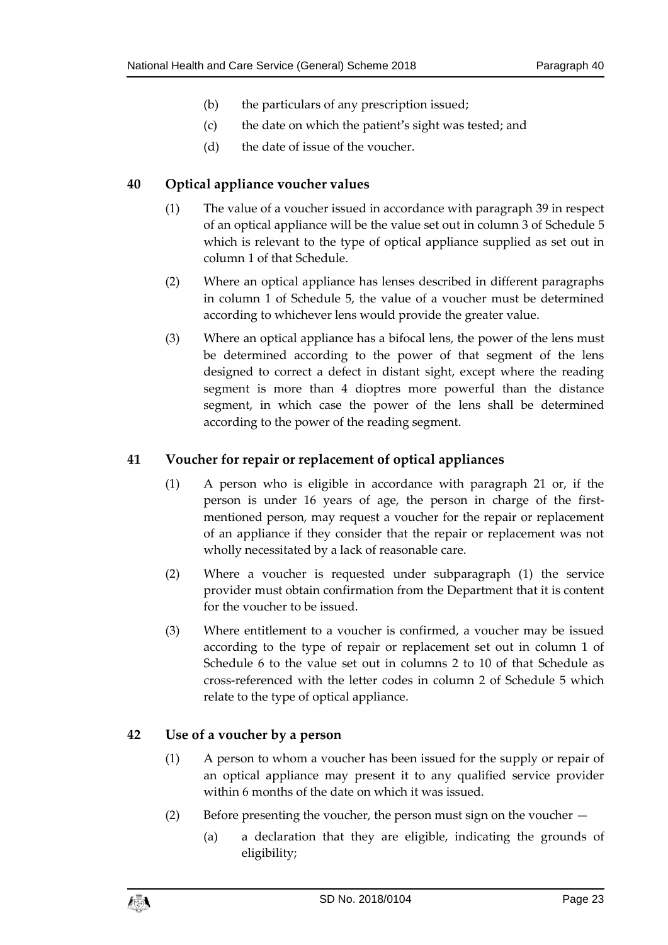- (b) the particulars of any prescription issued;
- (c) the date on which the patient's sight was tested; and
- (d) the date of issue of the voucher.

### <span id="page-22-0"></span>**40 Optical appliance voucher values**

- (1) The value of a voucher issued in accordance with paragraph 39 in respect of an optical appliance will be the value set out in column 3 of Schedule 5 which is relevant to the type of optical appliance supplied as set out in column 1 of that Schedule.
- (2) Where an optical appliance has lenses described in different paragraphs in column 1 of Schedule 5, the value of a voucher must be determined according to whichever lens would provide the greater value.
- (3) Where an optical appliance has a bifocal lens, the power of the lens must be determined according to the power of that segment of the lens designed to correct a defect in distant sight, except where the reading segment is more than 4 dioptres more powerful than the distance segment, in which case the power of the lens shall be determined according to the power of the reading segment.

# <span id="page-22-1"></span>**41 Voucher for repair or replacement of optical appliances**

- (1) A person who is eligible in accordance with paragraph 21 or, if the person is under 16 years of age, the person in charge of the firstmentioned person, may request a voucher for the repair or replacement of an appliance if they consider that the repair or replacement was not wholly necessitated by a lack of reasonable care.
- (2) Where a voucher is requested under subparagraph (1) the service provider must obtain confirmation from the Department that it is content for the voucher to be issued.
- (3) Where entitlement to a voucher is confirmed, a voucher may be issued according to the type of repair or replacement set out in column 1 of Schedule 6 to the value set out in columns 2 to 10 of that Schedule as cross-referenced with the letter codes in column 2 of Schedule 5 which relate to the type of optical appliance.

# <span id="page-22-2"></span>**42 Use of a voucher by a person**

- (1) A person to whom a voucher has been issued for the supply or repair of an optical appliance may present it to any qualified service provider within 6 months of the date on which it was issued.
- (2) Before presenting the voucher, the person must sign on the voucher
	- (a) a declaration that they are eligible, indicating the grounds of eligibility;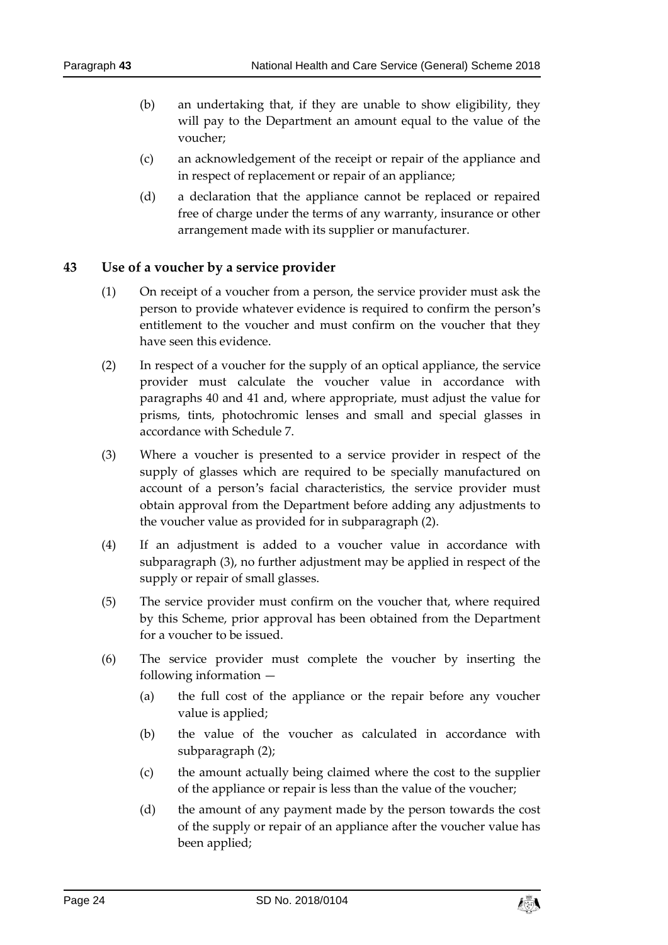- (b) an undertaking that, if they are unable to show eligibility, they will pay to the Department an amount equal to the value of the voucher;
- (c) an acknowledgement of the receipt or repair of the appliance and in respect of replacement or repair of an appliance;
- (d) a declaration that the appliance cannot be replaced or repaired free of charge under the terms of any warranty, insurance or other arrangement made with its supplier or manufacturer.

# <span id="page-23-0"></span>**43 Use of a voucher by a service provider**

- (1) On receipt of a voucher from a person, the service provider must ask the person to provide whatever evidence is required to confirm the person's entitlement to the voucher and must confirm on the voucher that they have seen this evidence.
- (2) In respect of a voucher for the supply of an optical appliance, the service provider must calculate the voucher value in accordance with paragraphs 40 and 41 and, where appropriate, must adjust the value for prisms, tints, photochromic lenses and small and special glasses in accordance with Schedule 7.
- (3) Where a voucher is presented to a service provider in respect of the supply of glasses which are required to be specially manufactured on account of a person's facial characteristics, the service provider must obtain approval from the Department before adding any adjustments to the voucher value as provided for in subparagraph (2).
- (4) If an adjustment is added to a voucher value in accordance with subparagraph (3), no further adjustment may be applied in respect of the supply or repair of small glasses.
- (5) The service provider must confirm on the voucher that, where required by this Scheme, prior approval has been obtained from the Department for a voucher to be issued.
- (6) The service provider must complete the voucher by inserting the following information —
	- (a) the full cost of the appliance or the repair before any voucher value is applied;
	- (b) the value of the voucher as calculated in accordance with subparagraph (2);
	- (c) the amount actually being claimed where the cost to the supplier of the appliance or repair is less than the value of the voucher;
	- (d) the amount of any payment made by the person towards the cost of the supply or repair of an appliance after the voucher value has been applied;

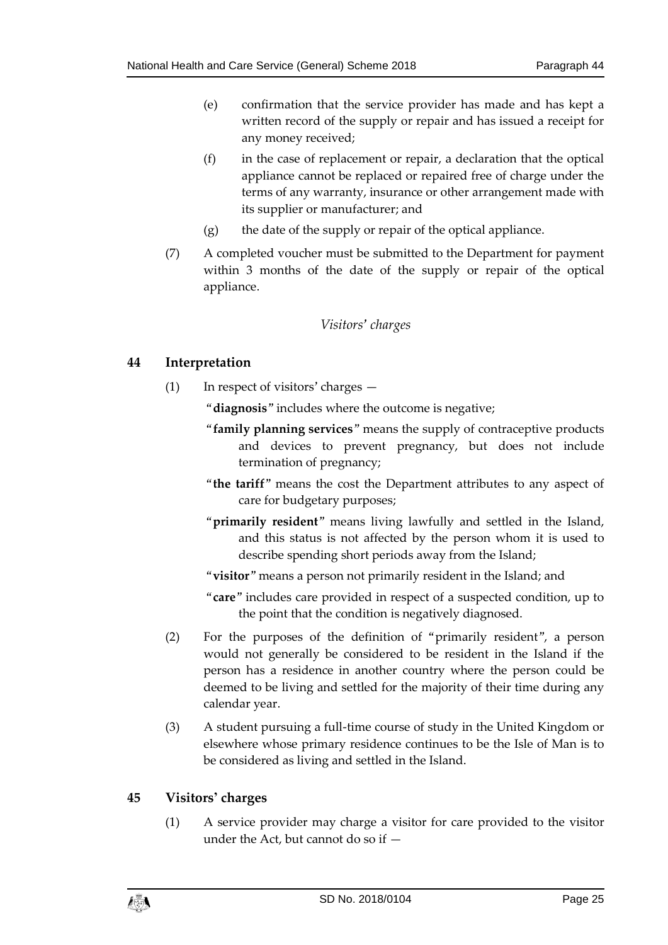- (e) confirmation that the service provider has made and has kept a written record of the supply or repair and has issued a receipt for any money received;
- (f) in the case of replacement or repair, a declaration that the optical appliance cannot be replaced or repaired free of charge under the terms of any warranty, insurance or other arrangement made with its supplier or manufacturer; and
- $(g)$  the date of the supply or repair of the optical appliance.
- (7) A completed voucher must be submitted to the Department for payment within 3 months of the date of the supply or repair of the optical appliance.

# *Visitors' charges*

# <span id="page-24-1"></span><span id="page-24-0"></span>**44 Interpretation**

- (1) In respect of visitors' charges
	- "**diagnosis**" includes where the outcome is negative;
		- "**family planning services**" means the supply of contraceptive products and devices to prevent pregnancy, but does not include termination of pregnancy;
		- "**the tariff**" means the cost the Department attributes to any aspect of care for budgetary purposes;
		- "**primarily resident**" means living lawfully and settled in the Island, and this status is not affected by the person whom it is used to describe spending short periods away from the Island;
		- "**visitor**" means a person not primarily resident in the Island; and
		- "**care**" includes care provided in respect of a suspected condition, up to the point that the condition is negatively diagnosed.
- (2) For the purposes of the definition of "primarily resident", a person would not generally be considered to be resident in the Island if the person has a residence in another country where the person could be deemed to be living and settled for the majority of their time during any calendar year.
- (3) A student pursuing a full-time course of study in the United Kingdom or elsewhere whose primary residence continues to be the Isle of Man is to be considered as living and settled in the Island.

# <span id="page-24-2"></span>**45 Visitors' charges**

(1) A service provider may charge a visitor for care provided to the visitor under the Act, but cannot do so if —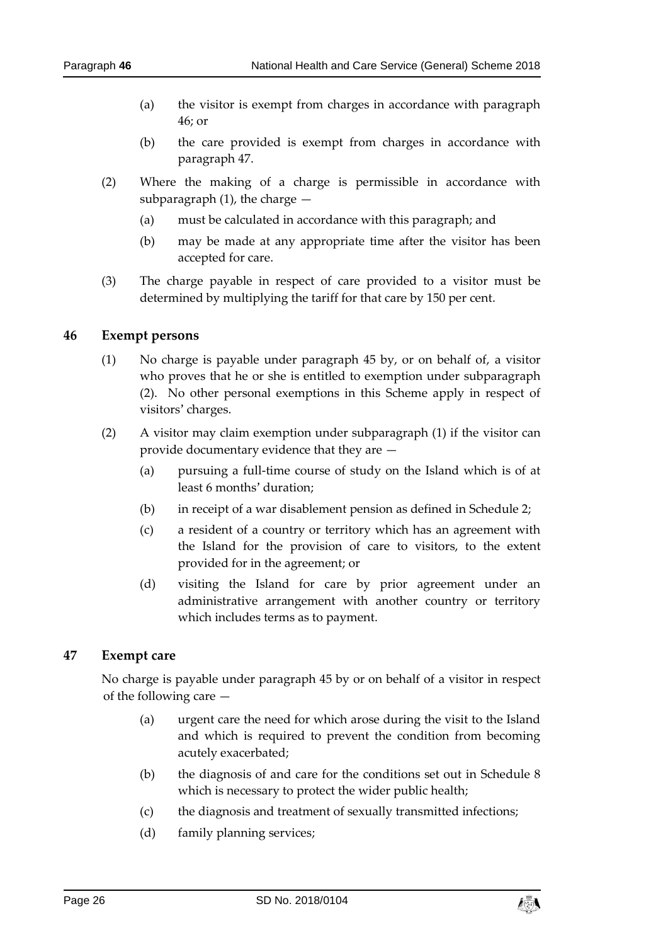- (a) the visitor is exempt from charges in accordance with paragraph 46; or
- (b) the care provided is exempt from charges in accordance with paragraph 47.
- (2) Where the making of a charge is permissible in accordance with subparagraph  $(1)$ , the charge  $-$ 
	- (a) must be calculated in accordance with this paragraph; and
	- (b) may be made at any appropriate time after the visitor has been accepted for care.
- (3) The charge payable in respect of care provided to a visitor must be determined by multiplying the tariff for that care by 150 per cent.

#### <span id="page-25-0"></span>**46 Exempt persons**

- (1) No charge is payable under paragraph 45 by, or on behalf of, a visitor who proves that he or she is entitled to exemption under subparagraph (2). No other personal exemptions in this Scheme apply in respect of visitors' charges.
- (2) A visitor may claim exemption under subparagraph (1) if the visitor can provide documentary evidence that they are —
	- (a) pursuing a full-time course of study on the Island which is of at least 6 months' duration;
	- (b) in receipt of a war disablement pension as defined in Schedule 2;
	- (c) a resident of a country or territory which has an agreement with the Island for the provision of care to visitors, to the extent provided for in the agreement; or
	- (d) visiting the Island for care by prior agreement under an administrative arrangement with another country or territory which includes terms as to payment.

#### <span id="page-25-1"></span>**47 Exempt care**

No charge is payable under paragraph 45 by or on behalf of a visitor in respect of the following care —

- (a) urgent care the need for which arose during the visit to the Island and which is required to prevent the condition from becoming acutely exacerbated;
- (b) the diagnosis of and care for the conditions set out in Schedule 8 which is necessary to protect the wider public health;
- (c) the diagnosis and treatment of sexually transmitted infections;
- (d) family planning services;

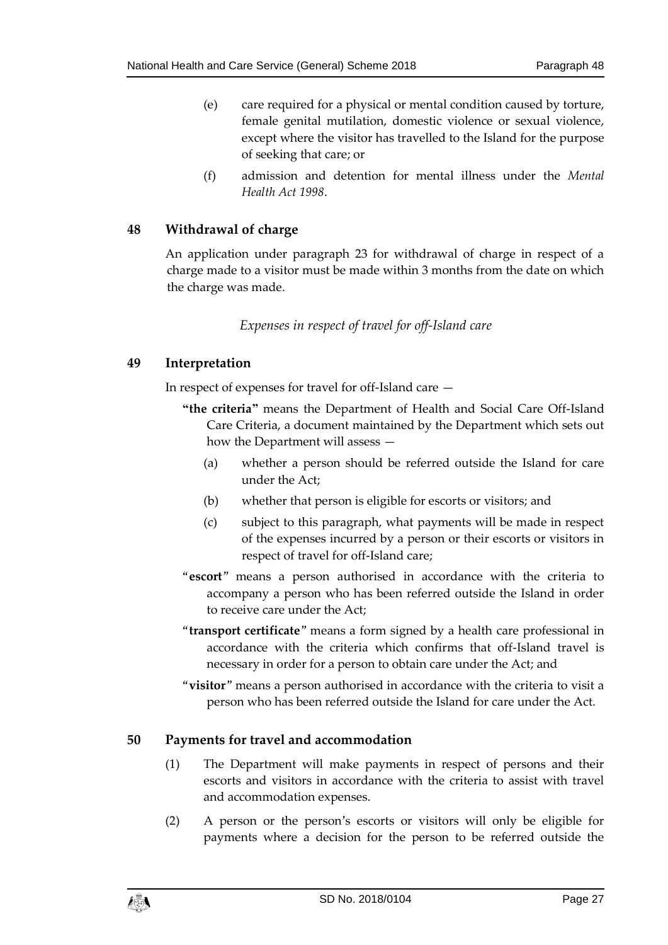- (e) care required for a physical or mental condition caused by torture, female genital mutilation, domestic violence or sexual violence, except where the visitor has travelled to the Island for the purpose of seeking that care; or
- (f) admission and detention for mental illness under the *Mental Health Act 1998*.

### <span id="page-26-0"></span>**48 Withdrawal of charge**

An application under paragraph 23 for withdrawal of charge in respect of a charge made to a visitor must be made within 3 months from the date on which the charge was made.

### *Expenses in respect of travel for off-Island care*

### <span id="page-26-2"></span><span id="page-26-1"></span>**49 Interpretation**

In respect of expenses for travel for off-Island care —

- **"the criteria"** means the Department of Health and Social Care Off-Island Care Criteria, a document maintained by the Department which sets out how the Department will assess —
	- (a) whether a person should be referred outside the Island for care under the Act;
	- (b) whether that person is eligible for escorts or visitors; and
	- (c) subject to this paragraph, what payments will be made in respect of the expenses incurred by a person or their escorts or visitors in respect of travel for off-Island care;
- "**escort**" means a person authorised in accordance with the criteria to accompany a person who has been referred outside the Island in order to receive care under the Act;
- "**transport certificate**" means a form signed by a health care professional in accordance with the criteria which confirms that off-Island travel is necessary in order for a person to obtain care under the Act; and
- "**visitor**" means a person authorised in accordance with the criteria to visit a person who has been referred outside the Island for care under the Act.

#### <span id="page-26-3"></span>**50 Payments for travel and accommodation**

- (1) The Department will make payments in respect of persons and their escorts and visitors in accordance with the criteria to assist with travel and accommodation expenses.
- (2) A person or the person's escorts or visitors will only be eligible for payments where a decision for the person to be referred outside the

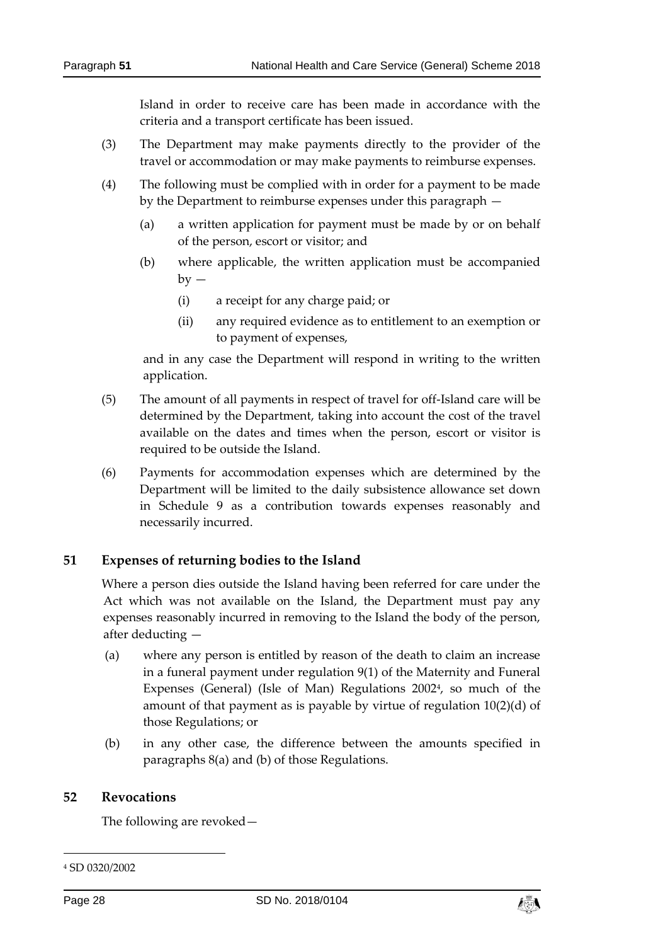Island in order to receive care has been made in accordance with the criteria and a transport certificate has been issued.

- (3) The Department may make payments directly to the provider of the travel or accommodation or may make payments to reimburse expenses.
- (4) The following must be complied with in order for a payment to be made by the Department to reimburse expenses under this paragraph —
	- (a) a written application for payment must be made by or on behalf of the person, escort or visitor; and
	- (b) where applicable, the written application must be accompanied  $by -$ 
		- (i) a receipt for any charge paid; or
		- (ii) any required evidence as to entitlement to an exemption or to payment of expenses,

and in any case the Department will respond in writing to the written application.

- (5) The amount of all payments in respect of travel for off-Island care will be determined by the Department, taking into account the cost of the travel available on the dates and times when the person, escort or visitor is required to be outside the Island.
- (6) Payments for accommodation expenses which are determined by the Department will be limited to the daily subsistence allowance set down in Schedule 9 as a contribution towards expenses reasonably and necessarily incurred.

# <span id="page-27-0"></span>**51 Expenses of returning bodies to the Island**

Where a person dies outside the Island having been referred for care under the Act which was not available on the Island, the Department must pay any expenses reasonably incurred in removing to the Island the body of the person, after deducting —

- (a) where any person is entitled by reason of the death to claim an increase in a funeral payment under regulation 9(1) of the Maternity and Funeral Expenses (General) (Isle of Man) Regulations 2002<sup>4</sup>, so much of the amount of that payment as is payable by virtue of regulation 10(2)(d) of those Regulations; or
- (b) in any other case, the difference between the amounts specified in paragraphs 8(a) and (b) of those Regulations.

#### <span id="page-27-1"></span>**52 Revocations**

The following are revoked—

-



<sup>4</sup> SD 0320/2002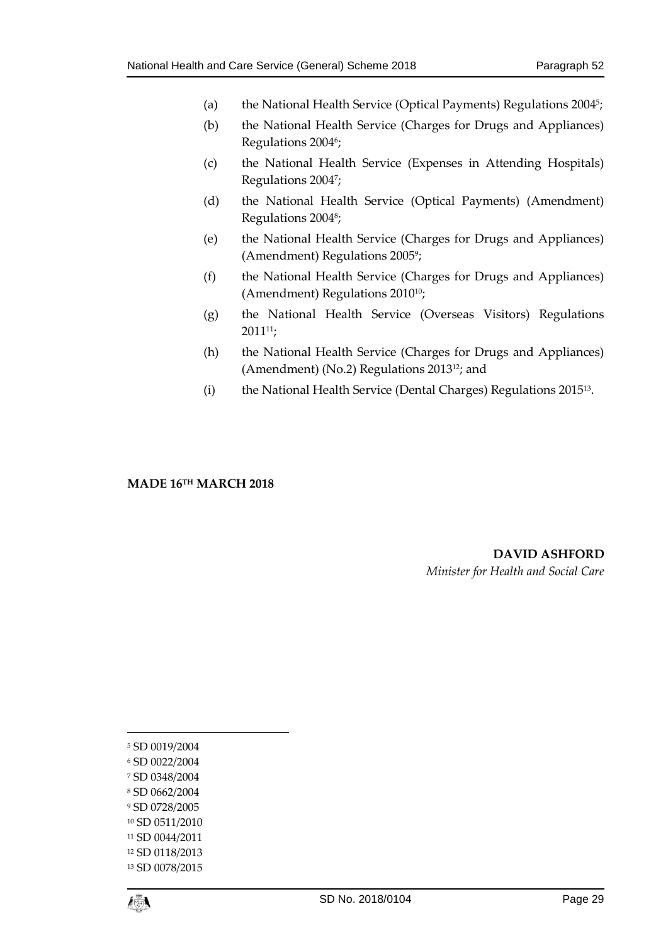- (a) the National Health Service (Optical Payments) Regulations 2004<sup>5</sup>;
- (b) the National Health Service (Charges for Drugs and Appliances) Regulations 20046;
- (c) the National Health Service (Expenses in Attending Hospitals) Regulations 2004<sup>7</sup> ;
- (d) the National Health Service (Optical Payments) (Amendment) Regulations 2004<sup>8</sup> ;
- (e) the National Health Service (Charges for Drugs and Appliances) (Amendment) Regulations 2005<sup>9</sup> ;
- (f) the National Health Service (Charges for Drugs and Appliances) (Amendment) Regulations 2010<sup>10</sup>;
- (g) the National Health Service (Overseas Visitors) Regulations 201111;
- (h) the National Health Service (Charges for Drugs and Appliances) (Amendment) (No.2) Regulations 201312; and
- (i) the National Health Service (Dental Charges) Regulations 2015<sup>13</sup> .

#### **MADE 16TH MARCH 2018**

**DAVID ASHFORD** *Minister for Health and Social Care*

 SD 0019/2004 SD 0022/2004 SD 0348/2004 SD 0662/2004 SD 0728/2005 SD 0511/2010 SD 0044/2011 SD 0118/2013 SD 0078/2015



1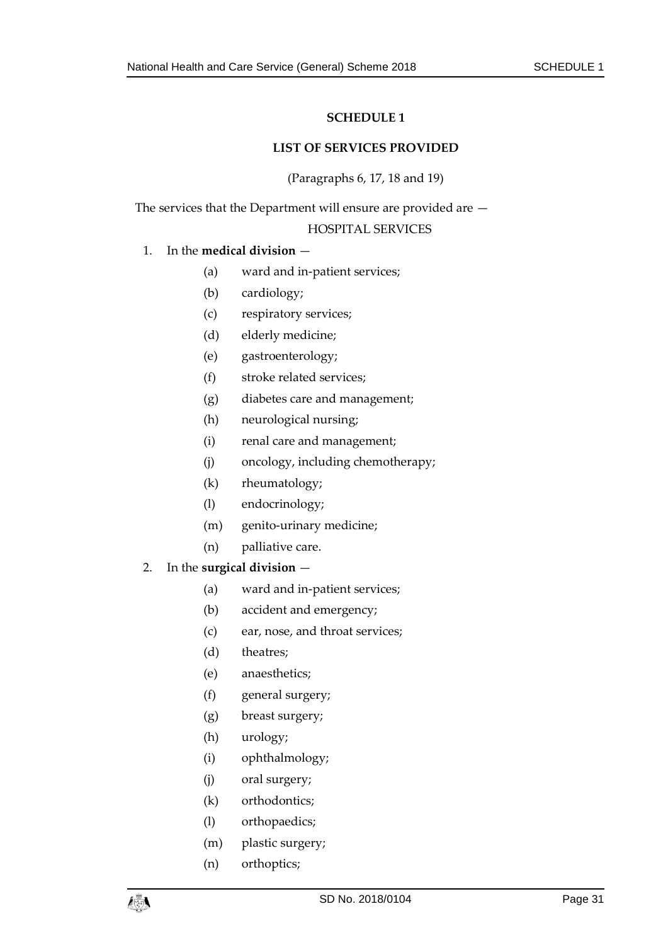#### **LIST OF SERVICES PROVIDED**

(Paragraphs 6, 17, 18 and 19)

<span id="page-30-1"></span><span id="page-30-0"></span>The services that the Department will ensure are provided are — HOSPITAL SERVICES

#### 1. In the **medical division** —

- (a) ward and in-patient services;
- (b) cardiology;
- (c) respiratory services;
- (d) elderly medicine;
- (e) gastroenterology;
- (f) stroke related services;
- (g) diabetes care and management;
- (h) neurological nursing;
- (i) renal care and management;
- (j) oncology, including chemotherapy;
- (k) rheumatology;
- (l) endocrinology;
- (m) genito-urinary medicine;
- (n) palliative care.

#### 2. In the **surgical division** —

- (a) ward and in-patient services;
- (b) accident and emergency;
- (c) ear, nose, and throat services;
- (d) theatres;
- (e) anaesthetics;
- (f) general surgery;
- (g) breast surgery;
- (h) urology;
- (i) ophthalmology;
- (j) oral surgery;
- (k) orthodontics;
- (l) orthopaedics;
- (m) plastic surgery;
- (n) orthoptics;

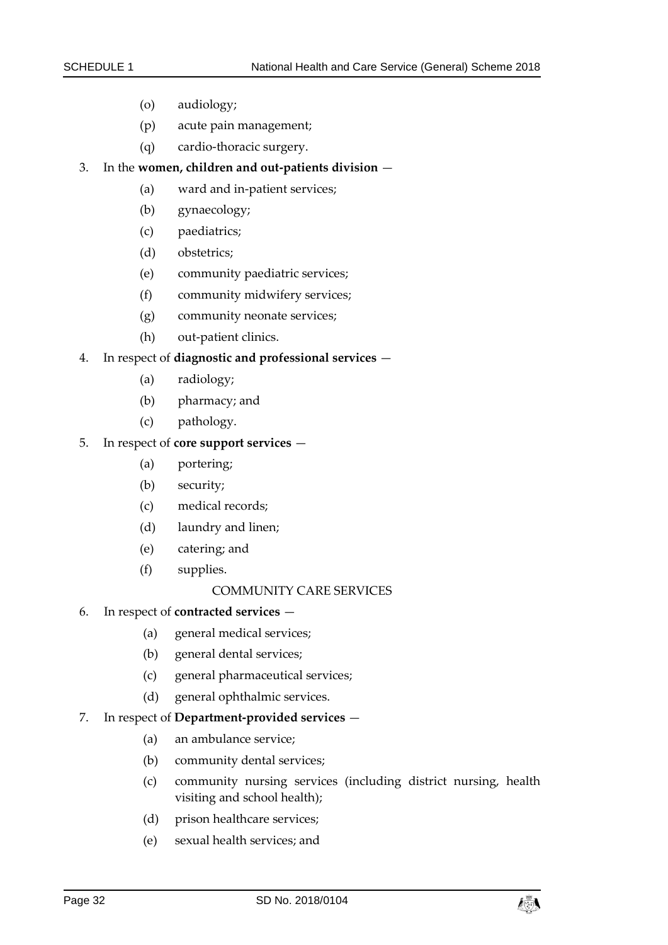- (o) audiology;
- (p) acute pain management;
- (q) cardio-thoracic surgery.

#### 3. In the **women, children and out-patients division** —

- (a) ward and in-patient services;
- (b) gynaecology;
- (c) paediatrics;
- (d) obstetrics;
- (e) community paediatric services;
- (f) community midwifery services;
- (g) community neonate services;
- (h) out-patient clinics.

#### 4. In respect of **diagnostic and professional services** —

- (a) radiology;
- (b) pharmacy; and
- (c) pathology.

#### 5. In respect of **core support services** —

- (a) portering;
- (b) security;
- (c) medical records;
- (d) laundry and linen;
- (e) catering; and
- (f) supplies.

#### COMMUNITY CARE SERVICES

#### 6. In respect of **contracted services** —

- (a) general medical services;
- (b) general dental services;
- (c) general pharmaceutical services;
- (d) general ophthalmic services.

#### 7. In respect of **Department-provided services** —

- (a) an ambulance service;
- (b) community dental services;
- (c) community nursing services (including district nursing, health visiting and school health);
- (d) prison healthcare services;
- (e) sexual health services; and

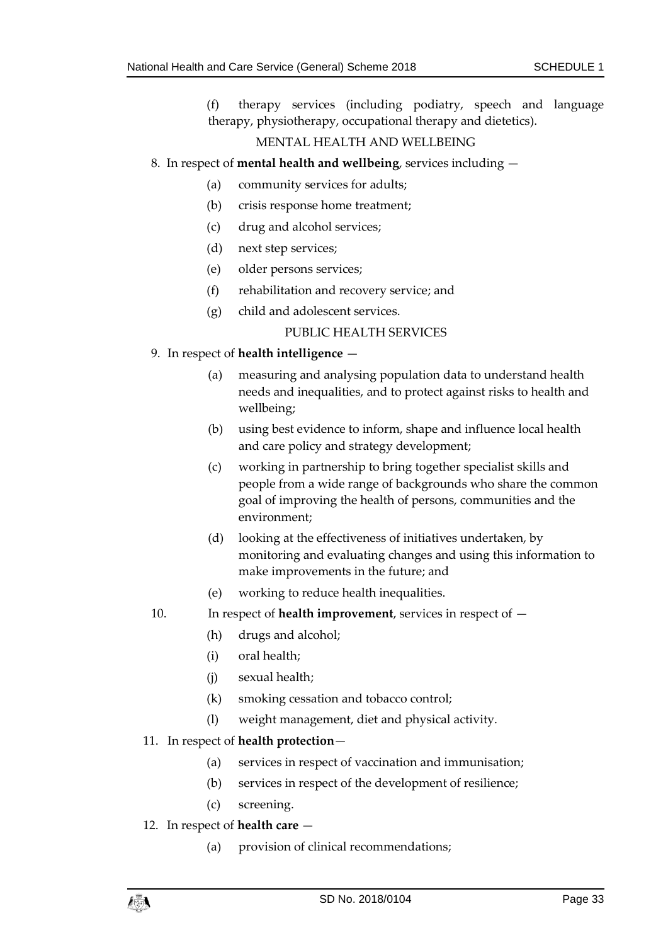(f) therapy services (including podiatry, speech and language therapy, physiotherapy, occupational therapy and dietetics).

#### MENTAL HEALTH AND WELLBEING

#### 8. In respect of **mental health and wellbeing**, services including —

- (a) community services for adults;
- (b) crisis response home treatment;
- (c) drug and alcohol services;
- (d) next step services;
- (e) older persons services;
- (f) rehabilitation and recovery service; and
- (g) child and adolescent services.

### PUBLIC HEALTH SERVICES

### 9. In respect of **health intelligence** —

- (a) measuring and analysing population data to understand health needs and inequalities, and to protect against risks to health and wellbeing;
- (b) using best evidence to inform, shape and influence local health and care policy and strategy development;
- (c) working in partnership to bring together specialist skills and people from a wide range of backgrounds who share the common goal of improving the health of persons, communities and the environment;
- (d) looking at the effectiveness of initiatives undertaken, by monitoring and evaluating changes and using this information to make improvements in the future; and
- (e) working to reduce health inequalities.
- 10. In respect of **health improvement**, services in respect of
	- (h) drugs and alcohol;
	- (i) oral health;
	- (j) sexual health;
	- (k) smoking cessation and tobacco control;
	- (l) weight management, diet and physical activity.

#### 11. In respect of **health protection**—

- (a) services in respect of vaccination and immunisation;
- (b) services in respect of the development of resilience;
- (c) screening.

#### 12. In respect of **health care** —

(a) provision of clinical recommendations;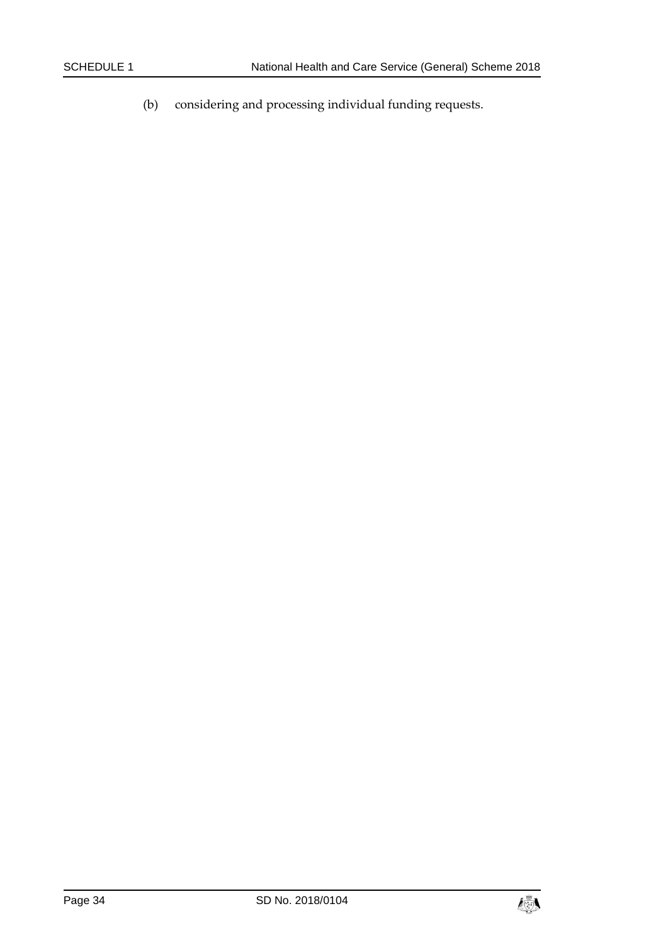(b) considering and processing individual funding requests.

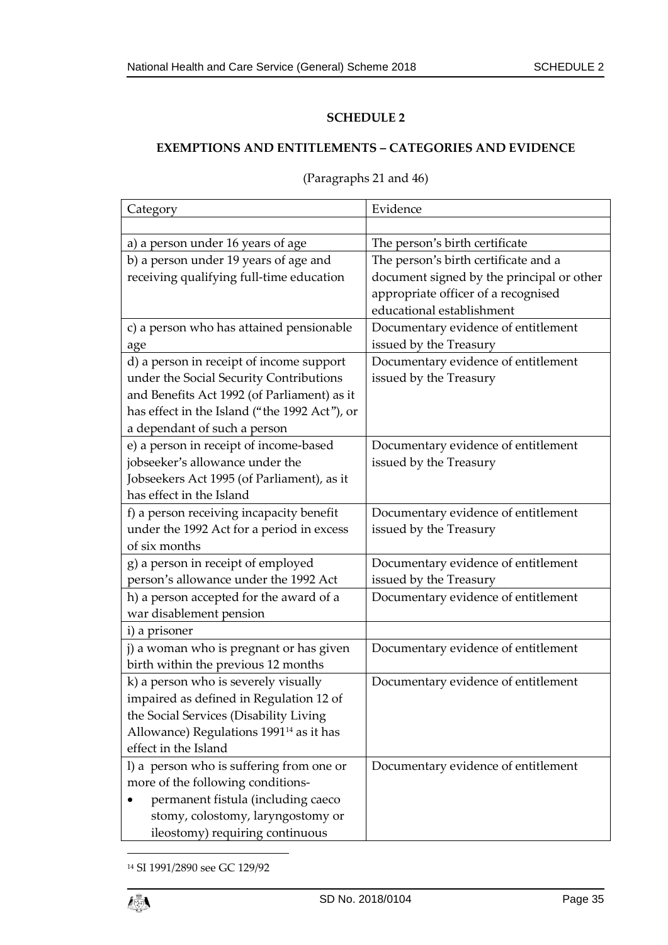# <span id="page-34-1"></span><span id="page-34-0"></span>**EXEMPTIONS AND ENTITLEMENTS – CATEGORIES AND EVIDENCE**

| Category                                            | Evidence                                  |
|-----------------------------------------------------|-------------------------------------------|
|                                                     |                                           |
| a) a person under 16 years of age                   | The person's birth certificate            |
| b) a person under 19 years of age and               | The person's birth certificate and a      |
| receiving qualifying full-time education            | document signed by the principal or other |
|                                                     | appropriate officer of a recognised       |
|                                                     | educational establishment                 |
| c) a person who has attained pensionable            | Documentary evidence of entitlement       |
| age                                                 | issued by the Treasury                    |
| d) a person in receipt of income support            | Documentary evidence of entitlement       |
| under the Social Security Contributions             | issued by the Treasury                    |
| and Benefits Act 1992 (of Parliament) as it         |                                           |
| has effect in the Island ("the 1992 Act"), or       |                                           |
| a dependant of such a person                        |                                           |
| e) a person in receipt of income-based              | Documentary evidence of entitlement       |
| jobseeker's allowance under the                     | issued by the Treasury                    |
| Jobseekers Act 1995 (of Parliament), as it          |                                           |
| has effect in the Island                            |                                           |
| f) a person receiving incapacity benefit            | Documentary evidence of entitlement       |
| under the 1992 Act for a period in excess           | issued by the Treasury                    |
| of six months                                       |                                           |
| g) a person in receipt of employed                  | Documentary evidence of entitlement       |
| person's allowance under the 1992 Act               | issued by the Treasury                    |
| h) a person accepted for the award of a             | Documentary evidence of entitlement       |
| war disablement pension                             |                                           |
| i) a prisoner                                       |                                           |
| j) a woman who is pregnant or has given             | Documentary evidence of entitlement       |
| birth within the previous 12 months                 |                                           |
| k) a person who is severely visually                | Documentary evidence of entitlement       |
| impaired as defined in Regulation 12 of             |                                           |
| the Social Services (Disability Living              |                                           |
| Allowance) Regulations 1991 <sup>14</sup> as it has |                                           |
| effect in the Island                                |                                           |
| l) a person who is suffering from one or            | Documentary evidence of entitlement       |
| more of the following conditions-                   |                                           |
| permanent fistula (including caeco                  |                                           |
| stomy, colostomy, laryngostomy or                   |                                           |
| ileostomy) requiring continuous                     |                                           |

### (Paragraphs 21 and 46)

<sup>14</sup> SI 1991/2890 see GC 129/92

1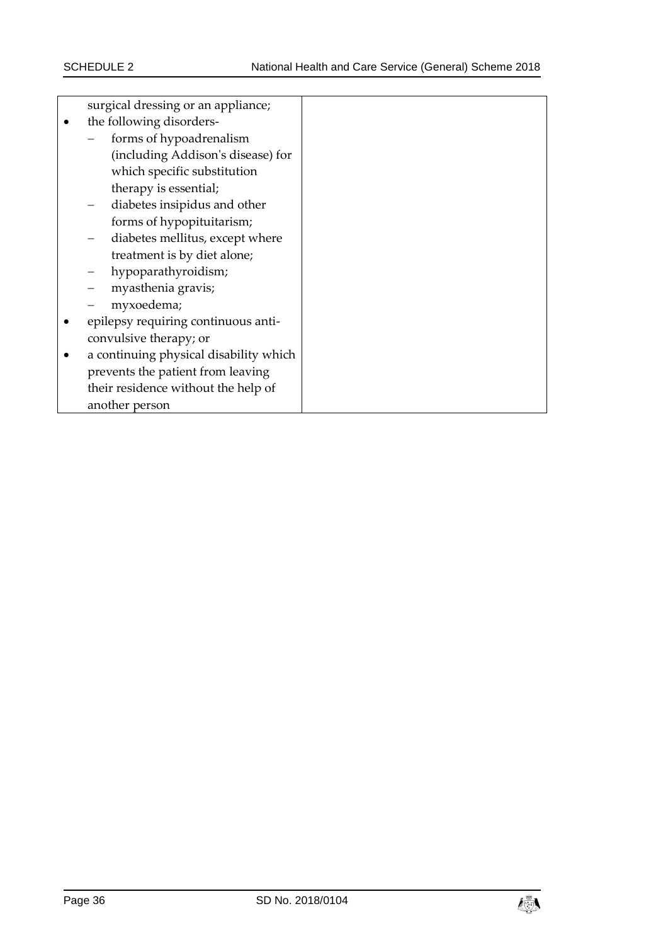|   | surgical dressing or an appliance;     |  |  |  |  |
|---|----------------------------------------|--|--|--|--|
| ٠ | the following disorders-               |  |  |  |  |
|   | forms of hypoadrenalism                |  |  |  |  |
|   | (including Addison's disease) for      |  |  |  |  |
|   | which specific substitution            |  |  |  |  |
|   | therapy is essential;                  |  |  |  |  |
|   | diabetes insipidus and other           |  |  |  |  |
|   | forms of hypopituitarism;              |  |  |  |  |
|   | diabetes mellitus, except where        |  |  |  |  |
|   | treatment is by diet alone;            |  |  |  |  |
|   | hypoparathyroidism;                    |  |  |  |  |
|   | myasthenia gravis;                     |  |  |  |  |
|   | myxoedema;                             |  |  |  |  |
| ٠ | epilepsy requiring continuous anti-    |  |  |  |  |
|   | convulsive therapy; or                 |  |  |  |  |
| ٠ | a continuing physical disability which |  |  |  |  |
|   | prevents the patient from leaving      |  |  |  |  |
|   | their residence without the help of    |  |  |  |  |
|   | another person                         |  |  |  |  |

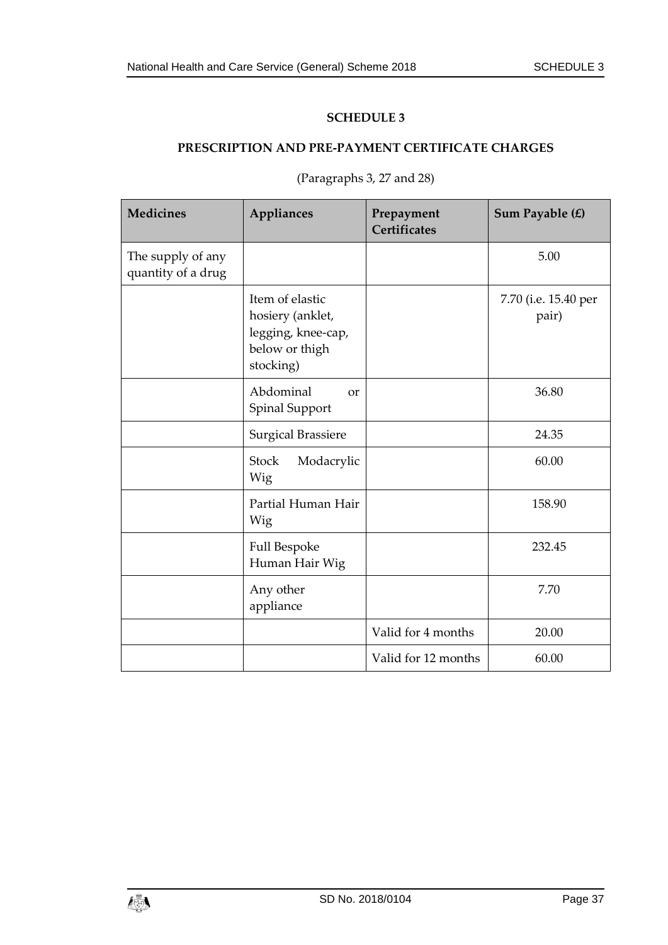# <span id="page-36-1"></span><span id="page-36-0"></span>**PRESCRIPTION AND PRE-PAYMENT CERTIFICATE CHARGES**

| <b>Medicines</b>                        | Appliances                                                                               | Prepayment<br>Certificates | Sum Payable (£)               |
|-----------------------------------------|------------------------------------------------------------------------------------------|----------------------------|-------------------------------|
| The supply of any<br>quantity of a drug |                                                                                          |                            | 5.00                          |
|                                         | Item of elastic<br>hosiery (anklet,<br>legging, knee-cap,<br>below or thigh<br>stocking) |                            | 7.70 (i.e. 15.40 per<br>pair) |
|                                         | Abdominal<br>$\alpha$<br>Spinal Support                                                  |                            | 36.80                         |
|                                         | <b>Surgical Brassiere</b>                                                                |                            | 24.35                         |
|                                         | <b>Stock</b><br>Modacrylic<br>Wig                                                        |                            | 60.00                         |
|                                         | Partial Human Hair<br>Wig                                                                |                            | 158.90                        |
|                                         | Full Bespoke<br>Human Hair Wig                                                           |                            | 232.45                        |
|                                         | Any other<br>appliance                                                                   |                            | 7.70                          |
|                                         |                                                                                          | Valid for 4 months         | 20.00                         |
|                                         |                                                                                          | Valid for 12 months        | 60.00                         |

(Paragraphs 3, 27 and 28)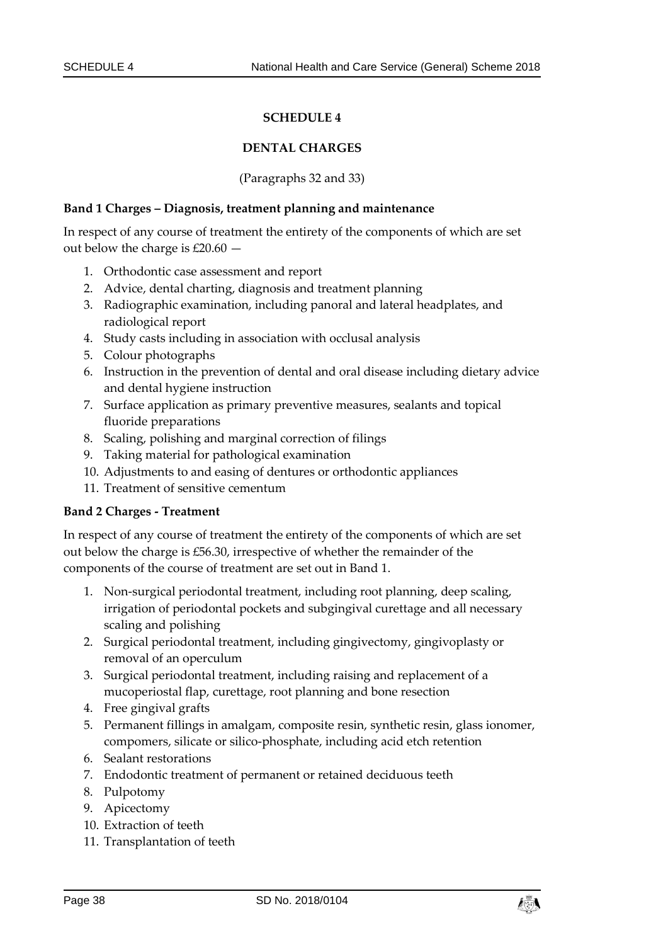#### **DENTAL CHARGES**

(Paragraphs 32 and 33)

#### <span id="page-37-1"></span><span id="page-37-0"></span>**Band 1 Charges – Diagnosis, treatment planning and maintenance**

In respect of any course of treatment the entirety of the components of which are set out below the charge is  $£20.60$  –

- 1. Orthodontic case assessment and report
- 2. Advice, dental charting, diagnosis and treatment planning
- 3. Radiographic examination, including panoral and lateral headplates, and radiological report
- 4. Study casts including in association with occlusal analysis
- 5. Colour photographs
- 6. Instruction in the prevention of dental and oral disease including dietary advice and dental hygiene instruction
- 7. Surface application as primary preventive measures, sealants and topical fluoride preparations
- 8. Scaling, polishing and marginal correction of filings
- 9. Taking material for pathological examination
- 10. Adjustments to and easing of dentures or orthodontic appliances
- 11. Treatment of sensitive cementum

#### **Band 2 Charges - Treatment**

In respect of any course of treatment the entirety of the components of which are set out below the charge is £56.30, irrespective of whether the remainder of the components of the course of treatment are set out in Band 1.

- 1. Non-surgical periodontal treatment, including root planning, deep scaling, irrigation of periodontal pockets and subgingival curettage and all necessary scaling and polishing
- 2. Surgical periodontal treatment, including gingivectomy, gingivoplasty or removal of an operculum
- 3. Surgical periodontal treatment, including raising and replacement of a mucoperiostal flap, curettage, root planning and bone resection
- 4. Free gingival grafts
- 5. Permanent fillings in amalgam, composite resin, synthetic resin, glass ionomer, compomers, silicate or silico-phosphate, including acid etch retention
- 6. Sealant restorations
- 7. Endodontic treatment of permanent or retained deciduous teeth
- 8. Pulpotomy
- 9. Apicectomy
- 10. Extraction of teeth
- 11. Transplantation of teeth

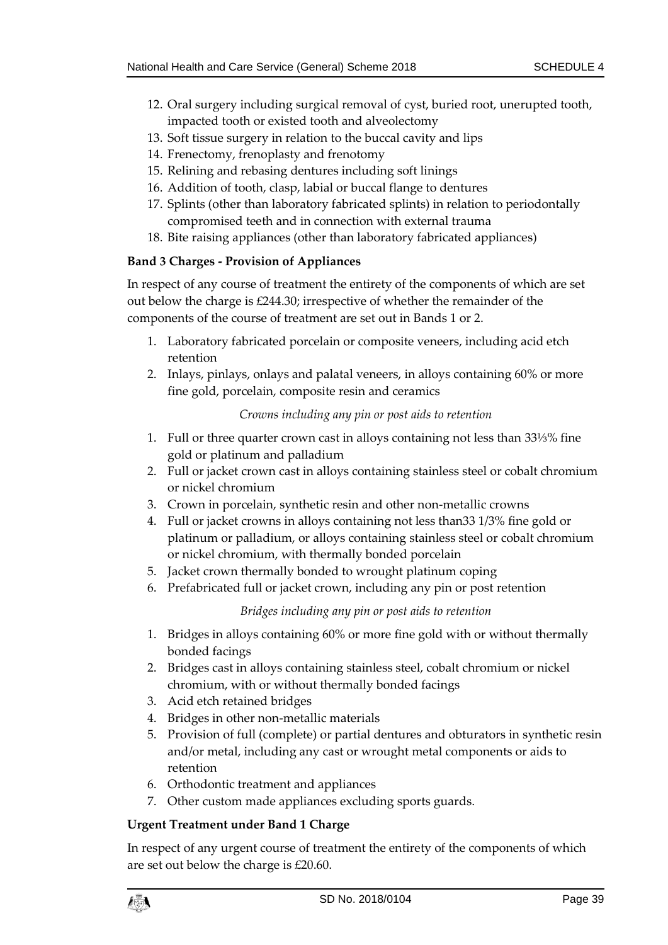- 12. Oral surgery including surgical removal of cyst, buried root, unerupted tooth, impacted tooth or existed tooth and alveolectomy
- 13. Soft tissue surgery in relation to the buccal cavity and lips
- 14. Frenectomy, frenoplasty and frenotomy
- 15. Relining and rebasing dentures including soft linings
- 16. Addition of tooth, clasp, labial or buccal flange to dentures
- 17. Splints (other than laboratory fabricated splints) in relation to periodontally compromised teeth and in connection with external trauma
- 18. Bite raising appliances (other than laboratory fabricated appliances)

# **Band 3 Charges - Provision of Appliances**

In respect of any course of treatment the entirety of the components of which are set out below the charge is £244.30; irrespective of whether the remainder of the components of the course of treatment are set out in Bands 1 or 2.

- 1. Laboratory fabricated porcelain or composite veneers, including acid etch retention
- 2. Inlays, pinlays, onlays and palatal veneers, in alloys containing 60% or more fine gold, porcelain, composite resin and ceramics

# *Crowns including any pin or post aids to retention*

- 1. Full or three quarter crown cast in alloys containing not less than 33⅓% fine gold or platinum and palladium
- 2. Full or jacket crown cast in alloys containing stainless steel or cobalt chromium or nickel chromium
- 3. Crown in porcelain, synthetic resin and other non-metallic crowns
- 4. Full or jacket crowns in alloys containing not less than33 1/3% fine gold or platinum or palladium, or alloys containing stainless steel or cobalt chromium or nickel chromium, with thermally bonded porcelain
- 5. Jacket crown thermally bonded to wrought platinum coping
- 6. Prefabricated full or jacket crown, including any pin or post retention

# *Bridges including any pin or post aids to retention*

- 1. Bridges in alloys containing 60% or more fine gold with or without thermally bonded facings
- 2. Bridges cast in alloys containing stainless steel, cobalt chromium or nickel chromium, with or without thermally bonded facings
- 3. Acid etch retained bridges
- 4. Bridges in other non-metallic materials
- 5. Provision of full (complete) or partial dentures and obturators in synthetic resin and/or metal, including any cast or wrought metal components or aids to retention
- 6. Orthodontic treatment and appliances
- 7. Other custom made appliances excluding sports guards.

# **Urgent Treatment under Band 1 Charge**

In respect of any urgent course of treatment the entirety of the components of which are set out below the charge is £20.60.

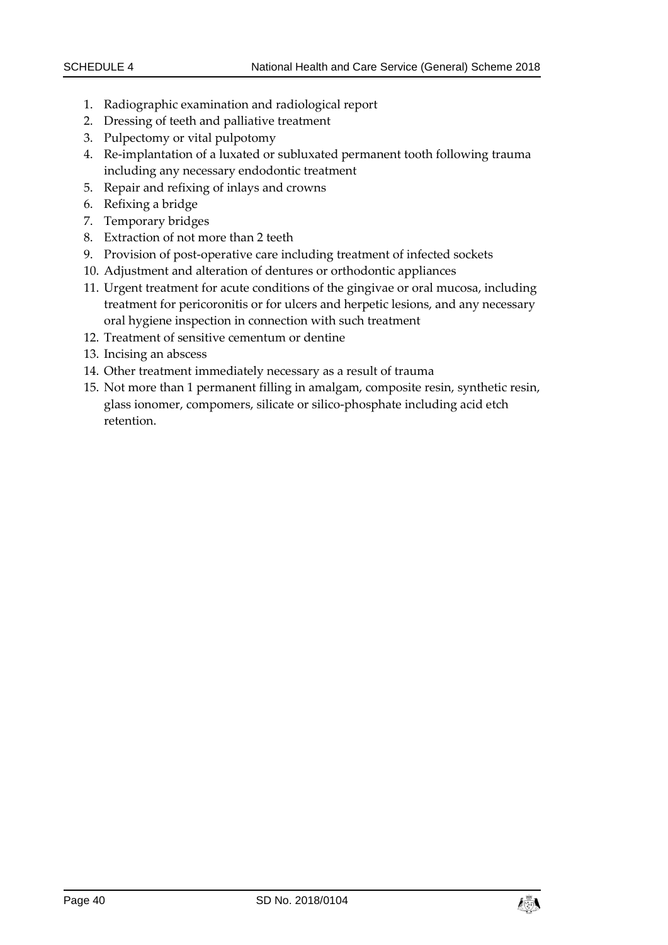- 1. Radiographic examination and radiological report
- 2. Dressing of teeth and palliative treatment
- 3. Pulpectomy or vital pulpotomy
- 4. Re-implantation of a luxated or subluxated permanent tooth following trauma including any necessary endodontic treatment
- 5. Repair and refixing of inlays and crowns
- 6. Refixing a bridge
- 7. Temporary bridges
- 8. Extraction of not more than 2 teeth
- 9. Provision of post-operative care including treatment of infected sockets
- 10. Adjustment and alteration of dentures or orthodontic appliances
- 11. Urgent treatment for acute conditions of the gingivae or oral mucosa, including treatment for pericoronitis or for ulcers and herpetic lesions, and any necessary oral hygiene inspection in connection with such treatment
- 12. Treatment of sensitive cementum or dentine
- 13. Incising an abscess
- 14. Other treatment immediately necessary as a result of trauma
- 15. Not more than 1 permanent filling in amalgam, composite resin, synthetic resin, glass ionomer, compomers, silicate or silico-phosphate including acid etch retention.

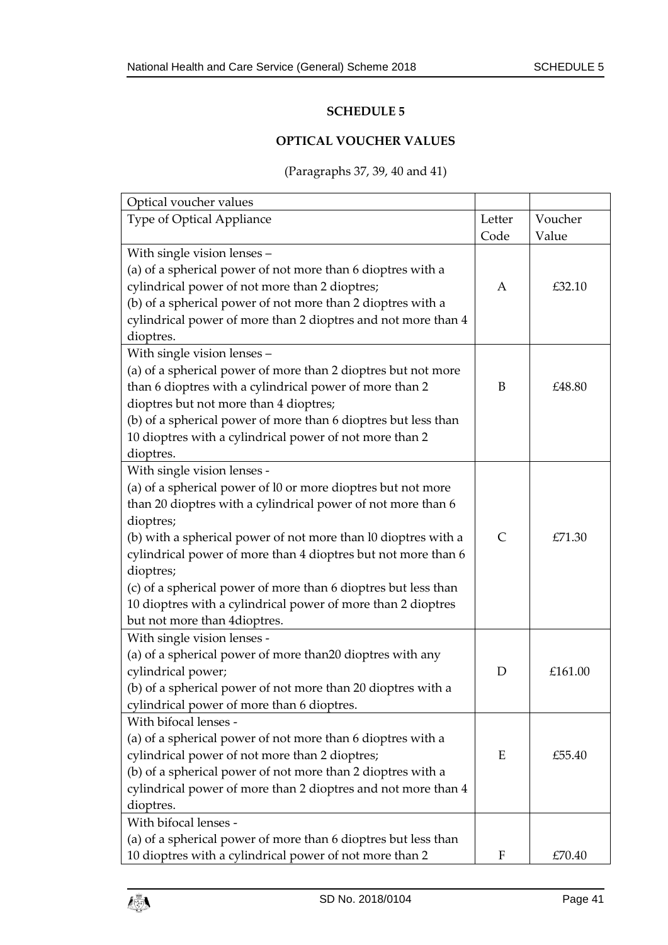### **OPTICAL VOUCHER VALUES**

# (Paragraphs 37, 39, 40 and 41)

<span id="page-40-1"></span><span id="page-40-0"></span>

| Optical voucher values                                         |              |         |
|----------------------------------------------------------------|--------------|---------|
| Type of Optical Appliance                                      | Letter       | Voucher |
|                                                                | Code         | Value   |
| With single vision lenses -                                    |              |         |
| (a) of a spherical power of not more than 6 dioptres with a    |              |         |
| cylindrical power of not more than 2 dioptres;                 | A            | £32.10  |
| (b) of a spherical power of not more than 2 dioptres with a    |              |         |
| cylindrical power of more than 2 dioptres and not more than 4  |              |         |
| dioptres.                                                      |              |         |
| With single vision lenses -                                    |              |         |
| (a) of a spherical power of more than 2 dioptres but not more  |              |         |
| than 6 dioptres with a cylindrical power of more than 2        | B            | £48.80  |
| dioptres but not more than 4 dioptres;                         |              |         |
| (b) of a spherical power of more than 6 dioptres but less than |              |         |
| 10 dioptres with a cylindrical power of not more than 2        |              |         |
| dioptres.                                                      |              |         |
| With single vision lenses -                                    |              |         |
| (a) of a spherical power of l0 or more dioptres but not more   |              |         |
| than 20 dioptres with a cylindrical power of not more than 6   |              |         |
| dioptres;                                                      |              |         |
| (b) with a spherical power of not more than l0 dioptres with a | $\mathsf{C}$ | £71.30  |
| cylindrical power of more than 4 dioptres but not more than 6  |              |         |
| dioptres;                                                      |              |         |
| (c) of a spherical power of more than 6 dioptres but less than |              |         |
| 10 dioptres with a cylindrical power of more than 2 dioptres   |              |         |
| but not more than 4dioptres.                                   |              |         |
| With single vision lenses -                                    |              |         |
| (a) of a spherical power of more than 20 dioptres with any     |              |         |
| cylindrical power;                                             | D            | £161.00 |
| (b) of a spherical power of not more than 20 dioptres with a   |              |         |
| cylindrical power of more than 6 dioptres.                     |              |         |
| With bifocal lenses -                                          |              |         |
| (a) of a spherical power of not more than 6 dioptres with a    |              |         |
| cylindrical power of not more than 2 dioptres;                 | Ε            | £55.40  |
| (b) of a spherical power of not more than 2 dioptres with a    |              |         |
| cylindrical power of more than 2 dioptres and not more than 4  |              |         |
| dioptres.                                                      |              |         |
| With bifocal lenses -                                          |              |         |
| (a) of a spherical power of more than 6 dioptres but less than |              |         |
| 10 dioptres with a cylindrical power of not more than 2        | F            | £70.40  |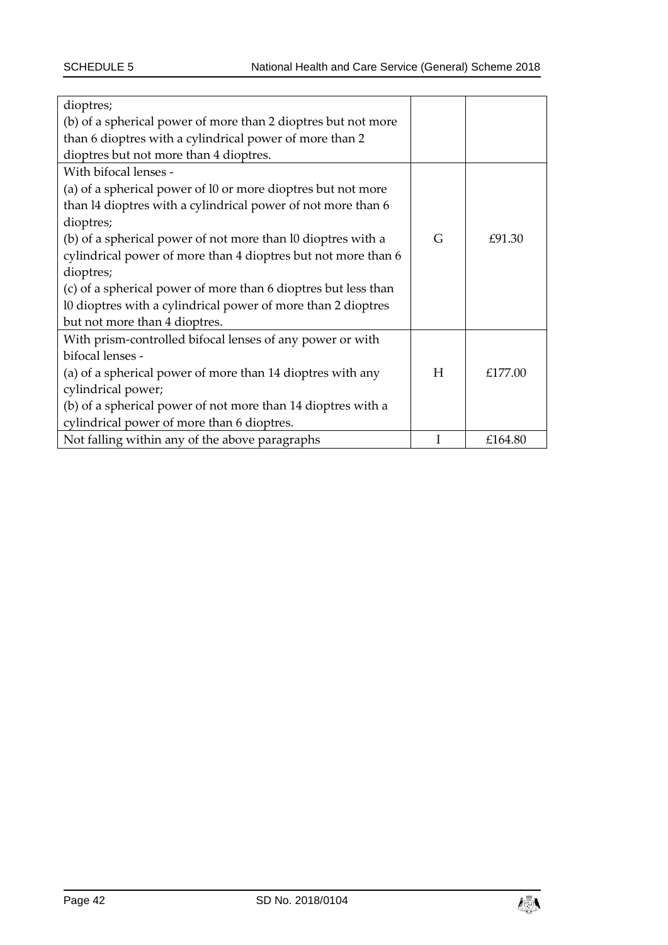| dioptres;                                                      |   |         |  |  |  |
|----------------------------------------------------------------|---|---------|--|--|--|
| (b) of a spherical power of more than 2 dioptres but not more  |   |         |  |  |  |
| than 6 dioptres with a cylindrical power of more than 2        |   |         |  |  |  |
| dioptres but not more than 4 dioptres.                         |   |         |  |  |  |
| With bifocal lenses -                                          |   |         |  |  |  |
| (a) of a spherical power of 10 or more dioptres but not more   |   |         |  |  |  |
| than 14 dioptres with a cylindrical power of not more than 6   |   |         |  |  |  |
| dioptres;                                                      |   |         |  |  |  |
| (b) of a spherical power of not more than 10 dioptres with a   | G | £91.30  |  |  |  |
| cylindrical power of more than 4 dioptres but not more than 6  |   |         |  |  |  |
| dioptres;                                                      |   |         |  |  |  |
| (c) of a spherical power of more than 6 dioptres but less than |   |         |  |  |  |
| 10 dioptres with a cylindrical power of more than 2 dioptres   |   |         |  |  |  |
| but not more than 4 dioptres.                                  |   |         |  |  |  |
| With prism-controlled bifocal lenses of any power or with      |   |         |  |  |  |
| bifocal lenses -                                               |   |         |  |  |  |
| (a) of a spherical power of more than 14 dioptres with any     | H | £177.00 |  |  |  |
| cylindrical power;                                             |   |         |  |  |  |
| (b) of a spherical power of not more than 14 dioptres with a   |   |         |  |  |  |
| cylindrical power of more than 6 dioptres.                     |   |         |  |  |  |
| Not falling within any of the above paragraphs                 |   | £164.80 |  |  |  |

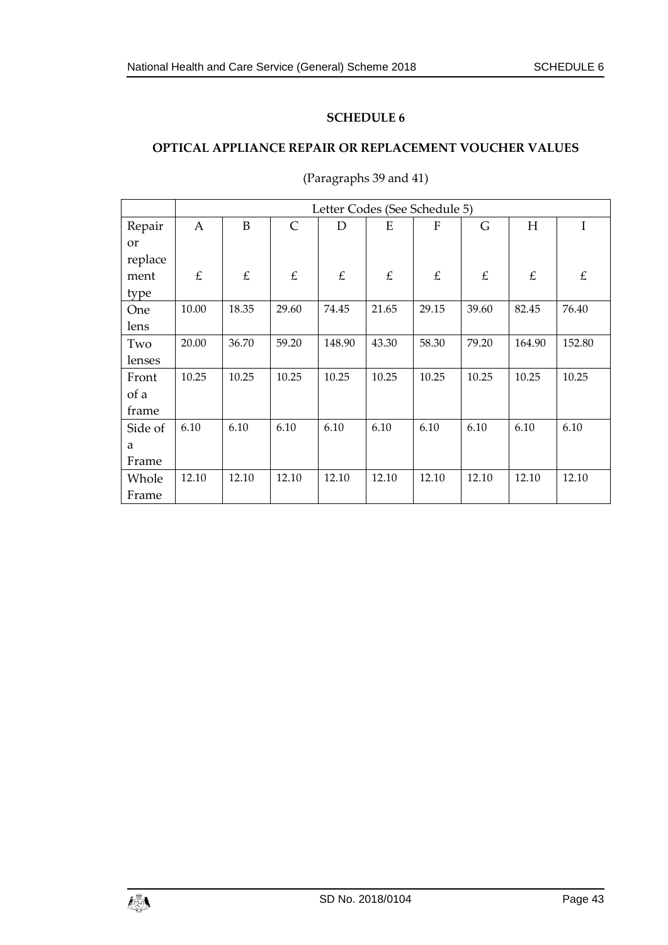# <span id="page-42-1"></span><span id="page-42-0"></span>**OPTICAL APPLIANCE REPAIR OR REPLACEMENT VOUCHER VALUES**

|         | Letter Codes (See Schedule 5) |       |              |        |       |              |       |        |        |
|---------|-------------------------------|-------|--------------|--------|-------|--------------|-------|--------|--------|
| Repair  | $\mathbf{A}$                  | B     | $\mathsf{C}$ | D      | E     | $\mathbf{F}$ | G     | H      | I      |
| or      |                               |       |              |        |       |              |       |        |        |
| replace |                               |       |              |        |       |              |       |        |        |
| ment    | £                             | £     | £            | £      | £     | £            | £     | £      | £      |
| type    |                               |       |              |        |       |              |       |        |        |
| One     | 10.00                         | 18.35 | 29.60        | 74.45  | 21.65 | 29.15        | 39.60 | 82.45  | 76.40  |
| lens    |                               |       |              |        |       |              |       |        |        |
| Two     | 20.00                         | 36.70 | 59.20        | 148.90 | 43.30 | 58.30        | 79.20 | 164.90 | 152.80 |
| lenses  |                               |       |              |        |       |              |       |        |        |
| Front   | 10.25                         | 10.25 | 10.25        | 10.25  | 10.25 | 10.25        | 10.25 | 10.25  | 10.25  |
| of a    |                               |       |              |        |       |              |       |        |        |
| frame   |                               |       |              |        |       |              |       |        |        |
| Side of | 6.10                          | 6.10  | 6.10         | 6.10   | 6.10  | 6.10         | 6.10  | 6.10   | 6.10   |
| a       |                               |       |              |        |       |              |       |        |        |
| Frame   |                               |       |              |        |       |              |       |        |        |
| Whole   | 12.10                         | 12.10 | 12.10        | 12.10  | 12.10 | 12.10        | 12.10 | 12.10  | 12.10  |
| Frame   |                               |       |              |        |       |              |       |        |        |

(Paragraphs 39 and 41)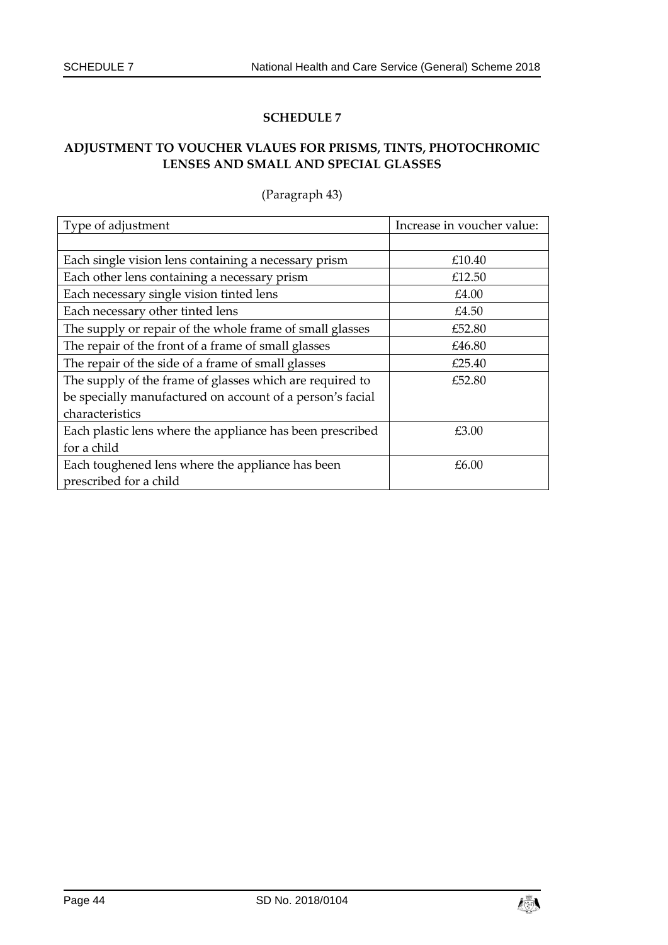# <span id="page-43-1"></span><span id="page-43-0"></span>**ADJUSTMENT TO VOUCHER VLAUES FOR PRISMS, TINTS, PHOTOCHROMIC LENSES AND SMALL AND SPECIAL GLASSES**

| Type of adjustment                                        | Increase in voucher value: |
|-----------------------------------------------------------|----------------------------|
|                                                           |                            |
| Each single vision lens containing a necessary prism      | £10.40                     |
| Each other lens containing a necessary prism              | £12.50                     |
| Each necessary single vision tinted lens                  | £4.00                      |
| Each necessary other tinted lens                          | £4.50                      |
| The supply or repair of the whole frame of small glasses  | £52.80                     |
| The repair of the front of a frame of small glasses       | £46.80                     |
| The repair of the side of a frame of small glasses        | £25.40                     |
| The supply of the frame of glasses which are required to  | £52.80                     |
| be specially manufactured on account of a person's facial |                            |
| characteristics                                           |                            |
| Each plastic lens where the appliance has been prescribed | £3.00                      |
| for a child                                               |                            |
| Each toughened lens where the appliance has been          | £6.00                      |
| prescribed for a child                                    |                            |

# (Paragraph 43)

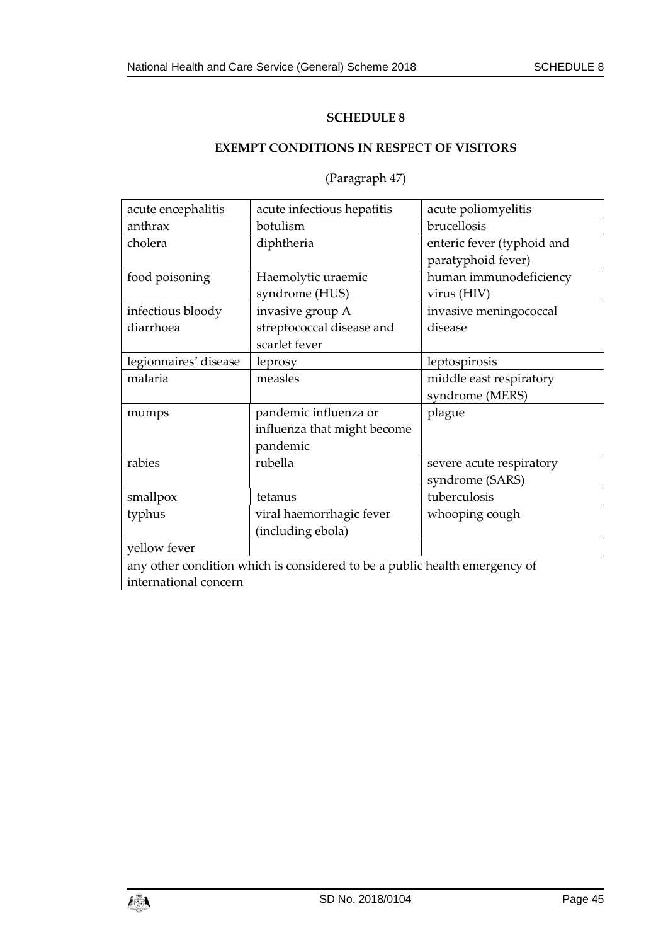# <span id="page-44-0"></span>**EXEMPT CONDITIONS IN RESPECT OF VISITORS**

# (Paragraph 47)

<span id="page-44-1"></span>

| acute encephalitis             | acute infectious hepatitis                                                 | acute poliomyelitis                              |  |
|--------------------------------|----------------------------------------------------------------------------|--------------------------------------------------|--|
| anthrax                        | botulism                                                                   | brucellosis                                      |  |
| cholera                        | diphtheria                                                                 | enteric fever (typhoid and<br>paratyphoid fever) |  |
| food poisoning                 | Haemolytic uraemic<br>syndrome (HUS)                                       | human immunodeficiency<br>virus (HIV)            |  |
| infectious bloody<br>diarrhoea | invasive group A<br>streptococcal disease and<br>scarlet fever             | invasive meningococcal<br>disease                |  |
| legionnaires' disease          | leprosy                                                                    | leptospirosis                                    |  |
| malaria                        | measles                                                                    | middle east respiratory<br>syndrome (MERS)       |  |
| mumps                          | pandemic influenza or<br>influenza that might become<br>pandemic           | plague                                           |  |
| rabies                         | rubella                                                                    | severe acute respiratory<br>syndrome (SARS)      |  |
| smallpox                       | tetanus                                                                    | tuberculosis                                     |  |
| typhus                         | viral haemorrhagic fever<br>(including ebola)                              | whooping cough                                   |  |
| yellow fever                   |                                                                            |                                                  |  |
| international concern          | any other condition which is considered to be a public health emergency of |                                                  |  |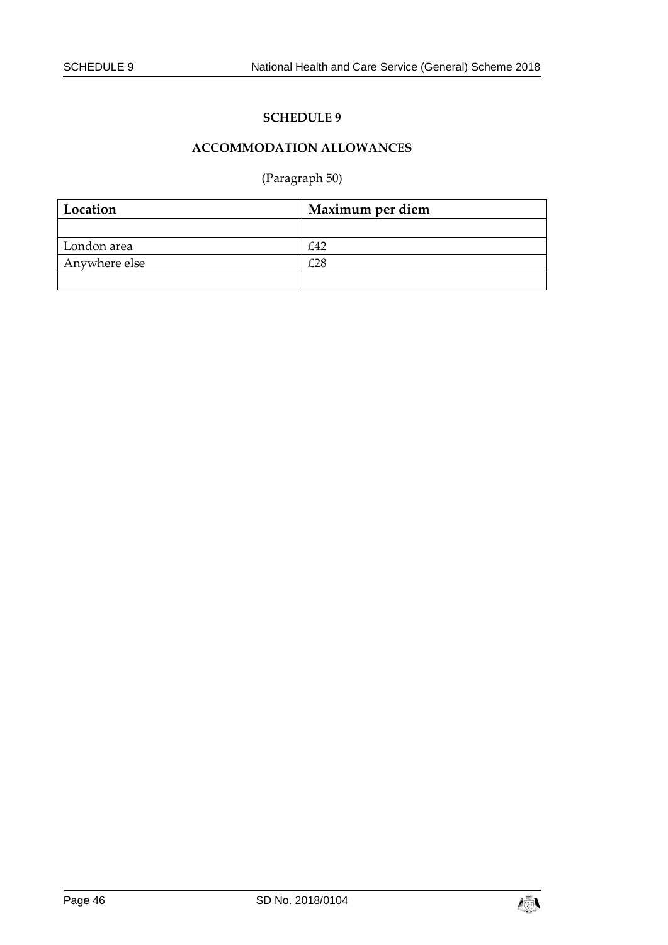# **ACCOMMODATION ALLOWANCES**

# (Paragraph 50)

<span id="page-45-1"></span><span id="page-45-0"></span>

| Location      | Maximum per diem |
|---------------|------------------|
|               |                  |
| London area   | £42              |
| Anywhere else | £28              |
|               |                  |

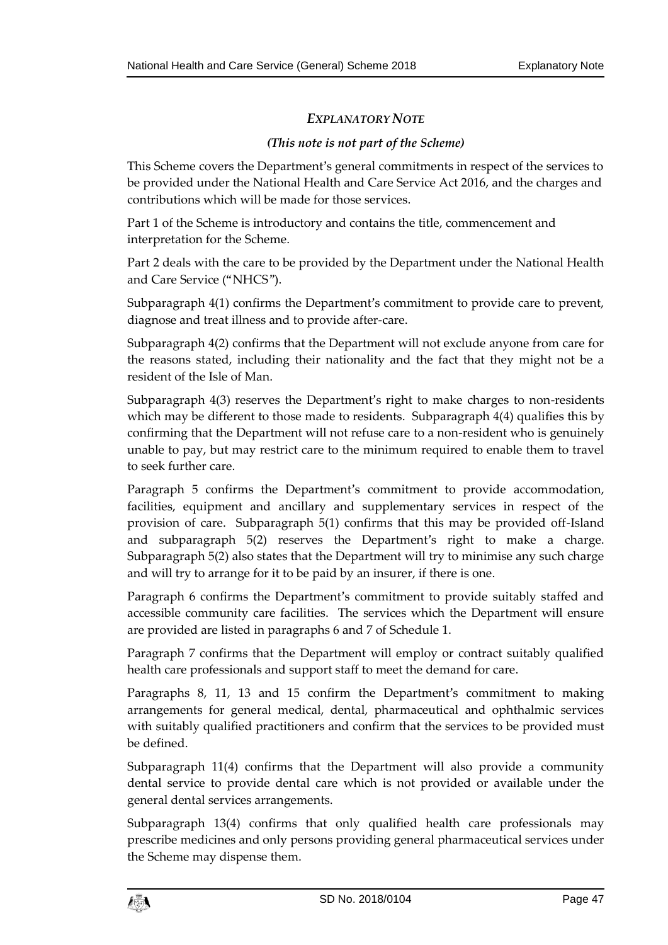# *EXPLANATORY NOTE*

#### *(This note is not part of the Scheme)*

This Scheme covers the Department's general commitments in respect of the services to be provided under the National Health and Care Service Act 2016, and the charges and contributions which will be made for those services.

Part 1 of the Scheme is introductory and contains the title, commencement and interpretation for the Scheme.

Part 2 deals with the care to be provided by the Department under the National Health and Care Service ("NHCS").

Subparagraph 4(1) confirms the Department's commitment to provide care to prevent, diagnose and treat illness and to provide after-care.

Subparagraph 4(2) confirms that the Department will not exclude anyone from care for the reasons stated, including their nationality and the fact that they might not be a resident of the Isle of Man.

Subparagraph 4(3) reserves the Department's right to make charges to non-residents which may be different to those made to residents. Subparagraph 4(4) qualifies this by confirming that the Department will not refuse care to a non-resident who is genuinely unable to pay, but may restrict care to the minimum required to enable them to travel to seek further care.

Paragraph 5 confirms the Department's commitment to provide accommodation, facilities, equipment and ancillary and supplementary services in respect of the provision of care. Subparagraph 5(1) confirms that this may be provided off-Island and subparagraph 5(2) reserves the Department's right to make a charge. Subparagraph 5(2) also states that the Department will try to minimise any such charge and will try to arrange for it to be paid by an insurer, if there is one.

Paragraph 6 confirms the Department's commitment to provide suitably staffed and accessible community care facilities. The services which the Department will ensure are provided are listed in paragraphs 6 and 7 of Schedule 1.

Paragraph 7 confirms that the Department will employ or contract suitably qualified health care professionals and support staff to meet the demand for care.

Paragraphs 8, 11, 13 and 15 confirm the Department's commitment to making arrangements for general medical, dental, pharmaceutical and ophthalmic services with suitably qualified practitioners and confirm that the services to be provided must be defined.

Subparagraph 11(4) confirms that the Department will also provide a community dental service to provide dental care which is not provided or available under the general dental services arrangements.

Subparagraph 13(4) confirms that only qualified health care professionals may prescribe medicines and only persons providing general pharmaceutical services under the Scheme may dispense them.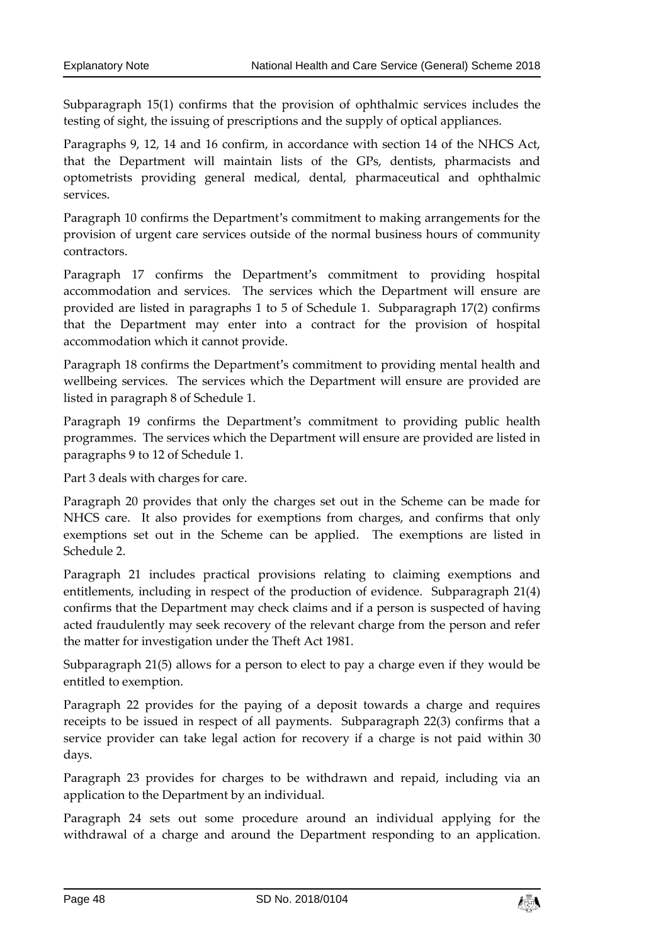Subparagraph 15(1) confirms that the provision of ophthalmic services includes the testing of sight, the issuing of prescriptions and the supply of optical appliances.

Paragraphs 9, 12, 14 and 16 confirm, in accordance with section 14 of the NHCS Act, that the Department will maintain lists of the GPs, dentists, pharmacists and optometrists providing general medical, dental, pharmaceutical and ophthalmic services.

Paragraph 10 confirms the Department's commitment to making arrangements for the provision of urgent care services outside of the normal business hours of community contractors.

Paragraph 17 confirms the Department's commitment to providing hospital accommodation and services. The services which the Department will ensure are provided are listed in paragraphs 1 to 5 of Schedule 1. Subparagraph 17(2) confirms that the Department may enter into a contract for the provision of hospital accommodation which it cannot provide.

Paragraph 18 confirms the Department's commitment to providing mental health and wellbeing services. The services which the Department will ensure are provided are listed in paragraph 8 of Schedule 1.

Paragraph 19 confirms the Department's commitment to providing public health programmes. The services which the Department will ensure are provided are listed in paragraphs 9 to 12 of Schedule 1.

Part 3 deals with charges for care.

Paragraph 20 provides that only the charges set out in the Scheme can be made for NHCS care. It also provides for exemptions from charges, and confirms that only exemptions set out in the Scheme can be applied. The exemptions are listed in Schedule 2.

Paragraph 21 includes practical provisions relating to claiming exemptions and entitlements, including in respect of the production of evidence. Subparagraph 21(4) confirms that the Department may check claims and if a person is suspected of having acted fraudulently may seek recovery of the relevant charge from the person and refer the matter for investigation under the Theft Act 1981.

Subparagraph 21(5) allows for a person to elect to pay a charge even if they would be entitled to exemption.

Paragraph 22 provides for the paying of a deposit towards a charge and requires receipts to be issued in respect of all payments. Subparagraph 22(3) confirms that a service provider can take legal action for recovery if a charge is not paid within 30 days.

Paragraph 23 provides for charges to be withdrawn and repaid, including via an application to the Department by an individual.

Paragraph 24 sets out some procedure around an individual applying for the withdrawal of a charge and around the Department responding to an application.

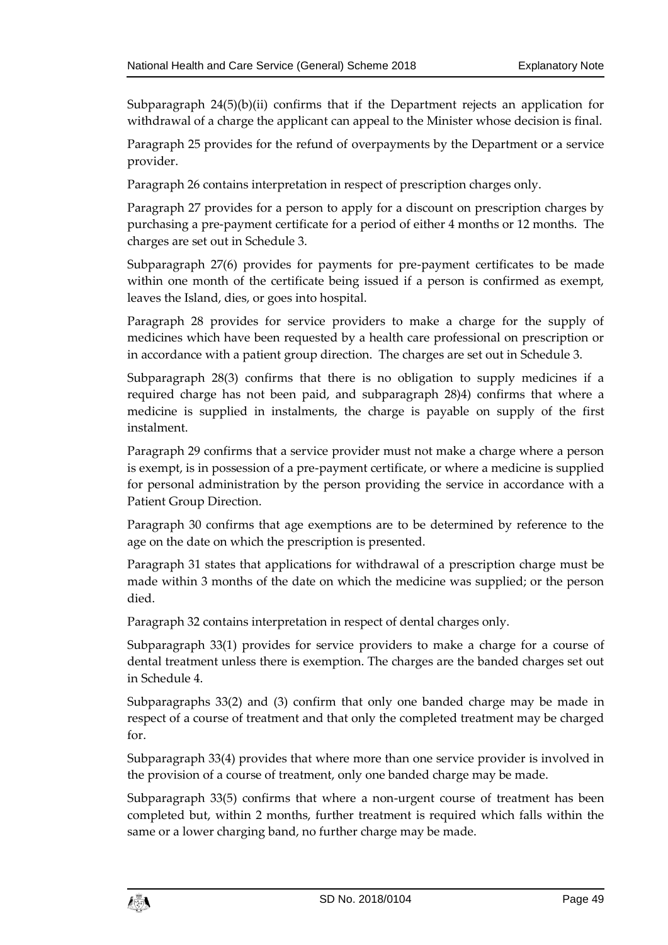Subparagraph 24(5)(b)(ii) confirms that if the Department rejects an application for withdrawal of a charge the applicant can appeal to the Minister whose decision is final.

Paragraph 25 provides for the refund of overpayments by the Department or a service provider.

Paragraph 26 contains interpretation in respect of prescription charges only.

Paragraph 27 provides for a person to apply for a discount on prescription charges by purchasing a pre-payment certificate for a period of either 4 months or 12 months. The charges are set out in Schedule 3.

Subparagraph 27(6) provides for payments for pre-payment certificates to be made within one month of the certificate being issued if a person is confirmed as exempt, leaves the Island, dies, or goes into hospital.

Paragraph 28 provides for service providers to make a charge for the supply of medicines which have been requested by a health care professional on prescription or in accordance with a patient group direction. The charges are set out in Schedule 3.

Subparagraph 28(3) confirms that there is no obligation to supply medicines if a required charge has not been paid, and subparagraph 28)4) confirms that where a medicine is supplied in instalments, the charge is payable on supply of the first instalment.

Paragraph 29 confirms that a service provider must not make a charge where a person is exempt, is in possession of a pre-payment certificate, or where a medicine is supplied for personal administration by the person providing the service in accordance with a Patient Group Direction.

Paragraph 30 confirms that age exemptions are to be determined by reference to the age on the date on which the prescription is presented.

Paragraph 31 states that applications for withdrawal of a prescription charge must be made within 3 months of the date on which the medicine was supplied; or the person died.

Paragraph 32 contains interpretation in respect of dental charges only.

Subparagraph 33(1) provides for service providers to make a charge for a course of dental treatment unless there is exemption. The charges are the banded charges set out in Schedule 4.

Subparagraphs 33(2) and (3) confirm that only one banded charge may be made in respect of a course of treatment and that only the completed treatment may be charged for.

Subparagraph 33(4) provides that where more than one service provider is involved in the provision of a course of treatment, only one banded charge may be made.

Subparagraph 33(5) confirms that where a non-urgent course of treatment has been completed but, within 2 months, further treatment is required which falls within the same or a lower charging band, no further charge may be made.

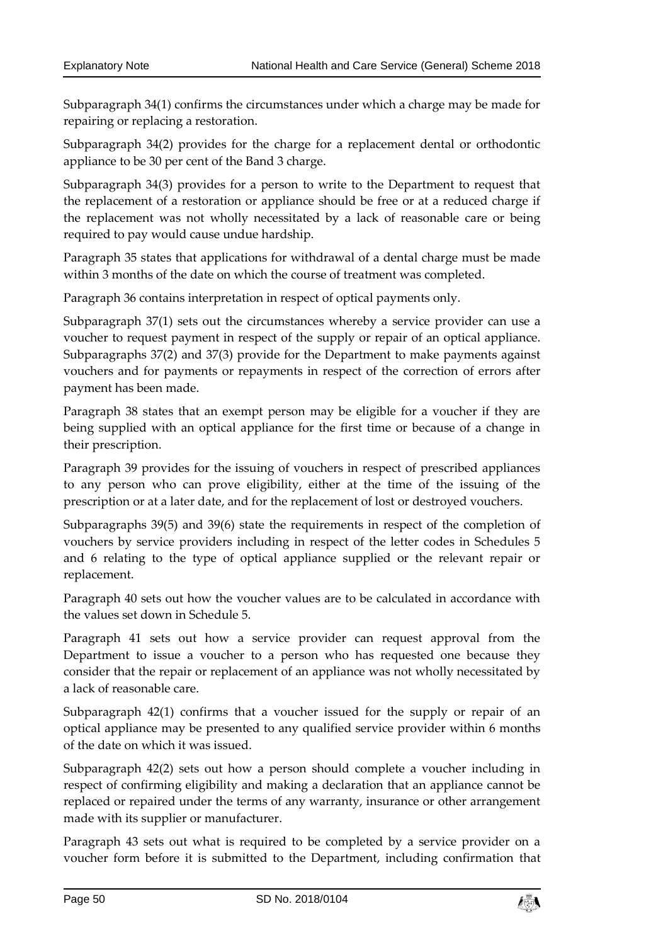Subparagraph 34(1) confirms the circumstances under which a charge may be made for repairing or replacing a restoration.

Subparagraph 34(2) provides for the charge for a replacement dental or orthodontic appliance to be 30 per cent of the Band 3 charge.

Subparagraph 34(3) provides for a person to write to the Department to request that the replacement of a restoration or appliance should be free or at a reduced charge if the replacement was not wholly necessitated by a lack of reasonable care or being required to pay would cause undue hardship.

Paragraph 35 states that applications for withdrawal of a dental charge must be made within 3 months of the date on which the course of treatment was completed.

Paragraph 36 contains interpretation in respect of optical payments only.

Subparagraph 37(1) sets out the circumstances whereby a service provider can use a voucher to request payment in respect of the supply or repair of an optical appliance. Subparagraphs 37(2) and 37(3) provide for the Department to make payments against vouchers and for payments or repayments in respect of the correction of errors after payment has been made.

Paragraph 38 states that an exempt person may be eligible for a voucher if they are being supplied with an optical appliance for the first time or because of a change in their prescription.

Paragraph 39 provides for the issuing of vouchers in respect of prescribed appliances to any person who can prove eligibility, either at the time of the issuing of the prescription or at a later date, and for the replacement of lost or destroyed vouchers.

Subparagraphs 39(5) and 39(6) state the requirements in respect of the completion of vouchers by service providers including in respect of the letter codes in Schedules 5 and 6 relating to the type of optical appliance supplied or the relevant repair or replacement.

Paragraph 40 sets out how the voucher values are to be calculated in accordance with the values set down in Schedule 5.

Paragraph 41 sets out how a service provider can request approval from the Department to issue a voucher to a person who has requested one because they consider that the repair or replacement of an appliance was not wholly necessitated by a lack of reasonable care.

Subparagraph 42(1) confirms that a voucher issued for the supply or repair of an optical appliance may be presented to any qualified service provider within 6 months of the date on which it was issued.

Subparagraph 42(2) sets out how a person should complete a voucher including in respect of confirming eligibility and making a declaration that an appliance cannot be replaced or repaired under the terms of any warranty, insurance or other arrangement made with its supplier or manufacturer.

Paragraph 43 sets out what is required to be completed by a service provider on a voucher form before it is submitted to the Department, including confirmation that

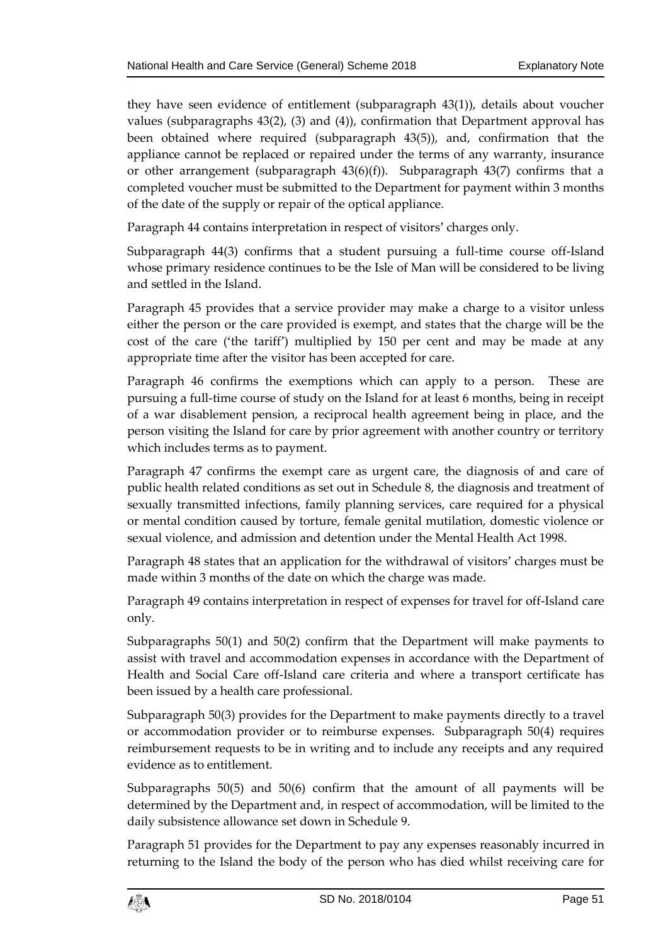they have seen evidence of entitlement (subparagraph 43(1)), details about voucher values (subparagraphs 43(2), (3) and (4)), confirmation that Department approval has been obtained where required (subparagraph 43(5)), and, confirmation that the appliance cannot be replaced or repaired under the terms of any warranty, insurance or other arrangement (subparagraph 43(6)(f)). Subparagraph 43(7) confirms that a completed voucher must be submitted to the Department for payment within 3 months of the date of the supply or repair of the optical appliance.

Paragraph 44 contains interpretation in respect of visitors' charges only.

Subparagraph 44(3) confirms that a student pursuing a full-time course off-Island whose primary residence continues to be the Isle of Man will be considered to be living and settled in the Island.

Paragraph 45 provides that a service provider may make a charge to a visitor unless either the person or the care provided is exempt, and states that the charge will be the cost of the care ('the tariff') multiplied by 150 per cent and may be made at any appropriate time after the visitor has been accepted for care.

Paragraph 46 confirms the exemptions which can apply to a person. These are pursuing a full-time course of study on the Island for at least 6 months, being in receipt of a war disablement pension, a reciprocal health agreement being in place, and the person visiting the Island for care by prior agreement with another country or territory which includes terms as to payment.

Paragraph 47 confirms the exempt care as urgent care, the diagnosis of and care of public health related conditions as set out in Schedule 8, the diagnosis and treatment of sexually transmitted infections, family planning services, care required for a physical or mental condition caused by torture, female genital mutilation, domestic violence or sexual violence, and admission and detention under the Mental Health Act 1998.

Paragraph 48 states that an application for the withdrawal of visitors' charges must be made within 3 months of the date on which the charge was made.

Paragraph 49 contains interpretation in respect of expenses for travel for off-Island care only.

Subparagraphs 50(1) and 50(2) confirm that the Department will make payments to assist with travel and accommodation expenses in accordance with the Department of Health and Social Care off-Island care criteria and where a transport certificate has been issued by a health care professional.

Subparagraph 50(3) provides for the Department to make payments directly to a travel or accommodation provider or to reimburse expenses. Subparagraph 50(4) requires reimbursement requests to be in writing and to include any receipts and any required evidence as to entitlement.

Subparagraphs 50(5) and 50(6) confirm that the amount of all payments will be determined by the Department and, in respect of accommodation, will be limited to the daily subsistence allowance set down in Schedule 9.

Paragraph 51 provides for the Department to pay any expenses reasonably incurred in returning to the Island the body of the person who has died whilst receiving care for